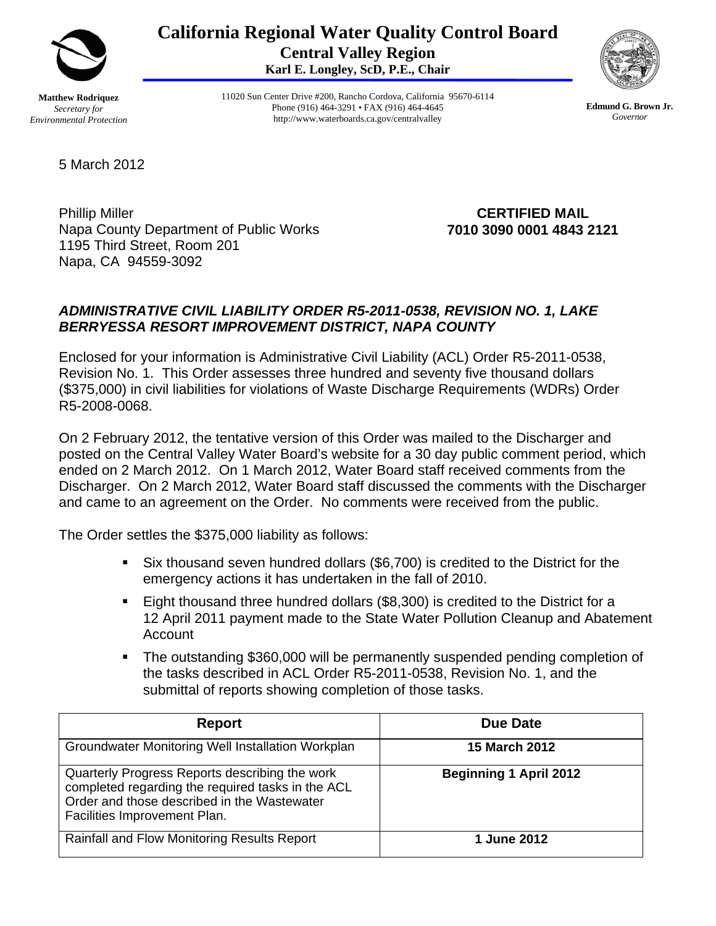

**California Regional Water Quality Control Board Central Valley Region Karl E. Longley, ScD, P.E., Chair** 



**Matthew Rodriquez**  *Secretary for Environmental Protection*  11020 Sun Center Drive #200, Rancho Cordova, California 95670-6114 Phone (916) 464-3291 • FAX (916) 464-4645 http://www.waterboards.ca.gov/centralvalley

**Edmund G. Brown Jr.** *Governor*

5 March 2012

Phillip Miller Napa County Department of Public Works 1195 Third Street, Room 201 Napa, CA 94559-3092

**CERTIFIED MAIL 7010 3090 0001 4843 2121** 

## *ADMINISTRATIVE CIVIL LIABILITY ORDER R5-2011-0538, REVISION NO. 1, LAKE BERRYESSA RESORT IMPROVEMENT DISTRICT, NAPA COUNTY*

Enclosed for your information is Administrative Civil Liability (ACL) Order R5-2011-0538, Revision No. 1. This Order assesses three hundred and seventy five thousand dollars (\$375,000) in civil liabilities for violations of Waste Discharge Requirements (WDRs) Order R5-2008-0068.

On 2 February 2012, the tentative version of this Order was mailed to the Discharger and posted on the Central Valley Water Board's website for a 30 day public comment period, which ended on 2 March 2012. On 1 March 2012, Water Board staff received comments from the Discharger. On 2 March 2012, Water Board staff discussed the comments with the Discharger and came to an agreement on the Order. No comments were received from the public.

The Order settles the \$375,000 liability as follows:

- Six thousand seven hundred dollars (\$6,700) is credited to the District for the emergency actions it has undertaken in the fall of 2010.
- Eight thousand three hundred dollars (\$8,300) is credited to the District for a 12 April 2011 payment made to the State Water Pollution Cleanup and Abatement Account
- The outstanding \$360,000 will be permanently suspended pending completion of the tasks described in ACL Order R5-2011-0538, Revision No. 1, and the submittal of reports showing completion of those tasks.

| Report                                                                                                                                                                             | Due Date                      |
|------------------------------------------------------------------------------------------------------------------------------------------------------------------------------------|-------------------------------|
| Groundwater Monitoring Well Installation Workplan                                                                                                                                  | <b>15 March 2012</b>          |
| Quarterly Progress Reports describing the work<br>completed regarding the required tasks in the ACL<br>Order and those described in the Wastewater<br>Facilities Improvement Plan. | <b>Beginning 1 April 2012</b> |
| Rainfall and Flow Monitoring Results Report                                                                                                                                        | 1 June 2012                   |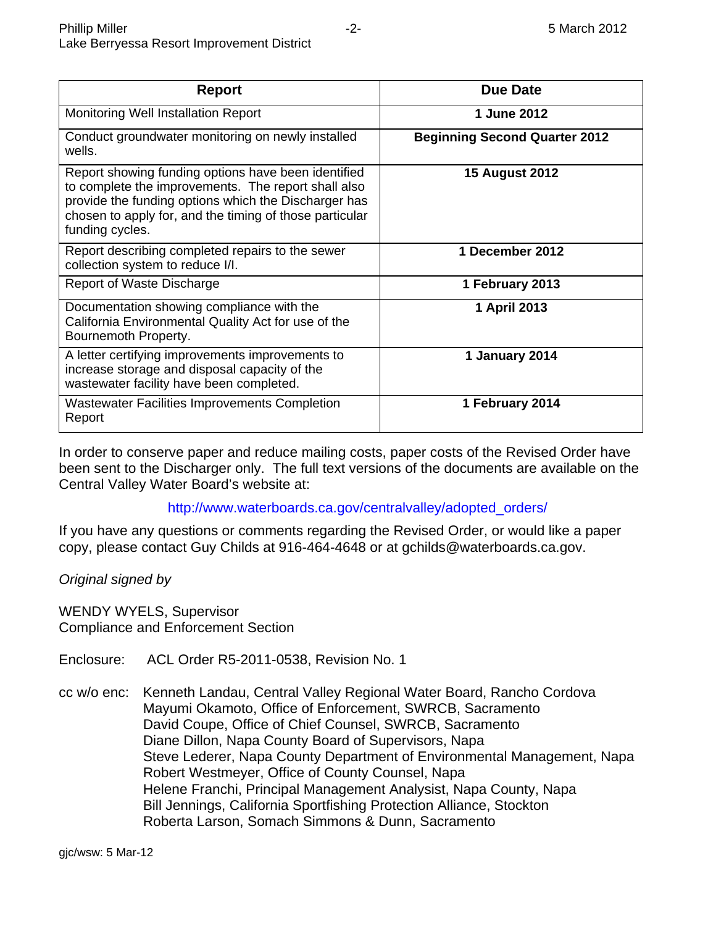| <b>Report</b>                                                                                                                                                                                                                                    | <b>Due Date</b>                      |
|--------------------------------------------------------------------------------------------------------------------------------------------------------------------------------------------------------------------------------------------------|--------------------------------------|
|                                                                                                                                                                                                                                                  |                                      |
| <b>Monitoring Well Installation Report</b>                                                                                                                                                                                                       | 1 June 2012                          |
| Conduct groundwater monitoring on newly installed<br>wells.                                                                                                                                                                                      | <b>Beginning Second Quarter 2012</b> |
| Report showing funding options have been identified<br>to complete the improvements. The report shall also<br>provide the funding options which the Discharger has<br>chosen to apply for, and the timing of those particular<br>funding cycles. | <b>15 August 2012</b>                |
| Report describing completed repairs to the sewer<br>collection system to reduce I/I.                                                                                                                                                             | 1 December 2012                      |
| Report of Waste Discharge                                                                                                                                                                                                                        | 1 February 2013                      |
| Documentation showing compliance with the<br>California Environmental Quality Act for use of the<br>Bournemoth Property.                                                                                                                         | 1 April 2013                         |
| A letter certifying improvements improvements to<br>increase storage and disposal capacity of the<br>wastewater facility have been completed.                                                                                                    | 1 January 2014                       |
| <b>Wastewater Facilities Improvements Completion</b><br>Report                                                                                                                                                                                   | 1 February 2014                      |

In order to conserve paper and reduce mailing costs, paper costs of the Revised Order have been sent to the Discharger only. The full text versions of the documents are available on the Central Valley Water Board's website at:

### http://www.waterboards.ca.gov/centralvalley/adopted\_orders/

If you have any questions or comments regarding the Revised Order, or would like a paper copy, please contact Guy Childs at 916-464-4648 or at gchilds@waterboards.ca.gov.

*Original signed by* 

WENDY WYELS, Supervisor Compliance and Enforcement Section

Enclosure: ACL Order R5-2011-0538, Revision No. 1

cc w/o enc: Kenneth Landau, Central Valley Regional Water Board, Rancho Cordova Mayumi Okamoto, Office of Enforcement, SWRCB, Sacramento David Coupe, Office of Chief Counsel, SWRCB, Sacramento Diane Dillon, Napa County Board of Supervisors, Napa Steve Lederer, Napa County Department of Environmental Management, Napa Robert Westmeyer, Office of County Counsel, Napa Helene Franchi, Principal Management Analysist, Napa County, Napa Bill Jennings, California Sportfishing Protection Alliance, Stockton Roberta Larson, Somach Simmons & Dunn, Sacramento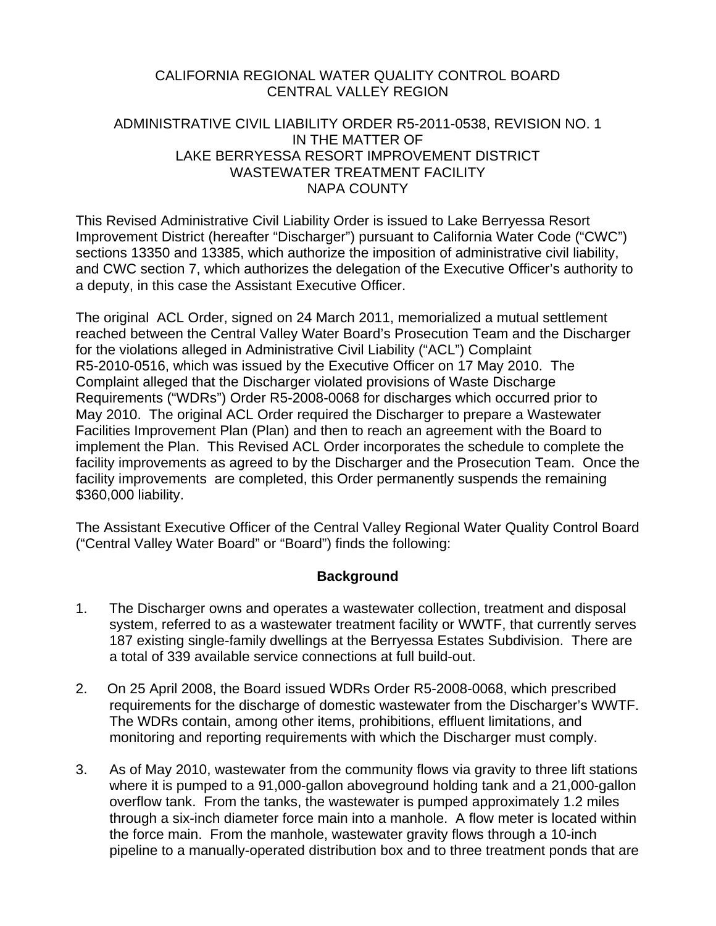#### CALIFORNIA REGIONAL WATER QUALITY CONTROL BOARD CENTRAL VALLEY REGION

#### ADMINISTRATIVE CIVIL LIABILITY ORDER R5-2011-0538, REVISION NO. 1 IN THE MATTER OF LAKE BERRYESSA RESORT IMPROVEMENT DISTRICT WASTEWATER TREATMENT FACILITY NAPA COUNTY

This Revised Administrative Civil Liability Order is issued to Lake Berryessa Resort Improvement District (hereafter "Discharger") pursuant to California Water Code ("CWC") sections 13350 and 13385, which authorize the imposition of administrative civil liability, and CWC section 7, which authorizes the delegation of the Executive Officer's authority to a deputy, in this case the Assistant Executive Officer.

The original ACL Order, signed on 24 March 2011, memorialized a mutual settlement reached between the Central Valley Water Board's Prosecution Team and the Discharger for the violations alleged in Administrative Civil Liability ("ACL") Complaint R5-2010-0516, which was issued by the Executive Officer on 17 May 2010. The Complaint alleged that the Discharger violated provisions of Waste Discharge Requirements ("WDRs") Order R5-2008-0068 for discharges which occurred prior to May 2010. The original ACL Order required the Discharger to prepare a Wastewater Facilities Improvement Plan (Plan) and then to reach an agreement with the Board to implement the Plan. This Revised ACL Order incorporates the schedule to complete the facility improvements as agreed to by the Discharger and the Prosecution Team. Once the facility improvements are completed, this Order permanently suspends the remaining \$360,000 liability.

The Assistant Executive Officer of the Central Valley Regional Water Quality Control Board ("Central Valley Water Board" or "Board") finds the following:

### **Background**

- 1. The Discharger owns and operates a wastewater collection, treatment and disposal system, referred to as a wastewater treatment facility or WWTF, that currently serves 187 existing single-family dwellings at the Berryessa Estates Subdivision. There are a total of 339 available service connections at full build-out.
- 2. On 25 April 2008, the Board issued WDRs Order R5-2008-0068, which prescribed requirements for the discharge of domestic wastewater from the Discharger's WWTF. The WDRs contain, among other items, prohibitions, effluent limitations, and monitoring and reporting requirements with which the Discharger must comply.
- 3. As of May 2010, wastewater from the community flows via gravity to three lift stations where it is pumped to a 91,000-gallon aboveground holding tank and a 21,000-gallon overflow tank. From the tanks, the wastewater is pumped approximately 1.2 miles through a six-inch diameter force main into a manhole. A flow meter is located within the force main. From the manhole, wastewater gravity flows through a 10-inch pipeline to a manually-operated distribution box and to three treatment ponds that are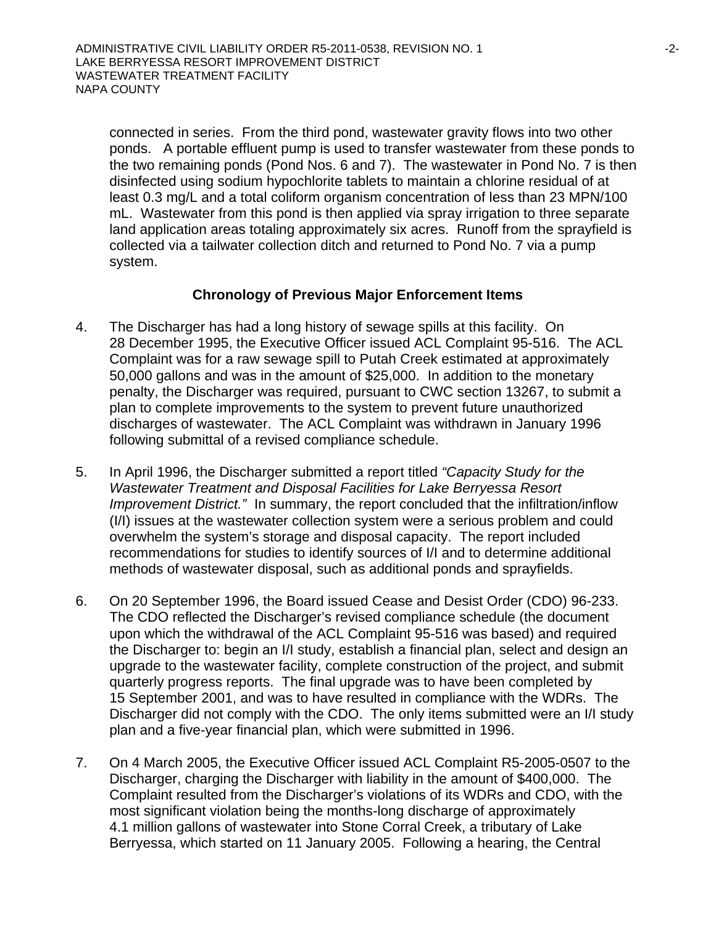connected in series. From the third pond, wastewater gravity flows into two other ponds. A portable effluent pump is used to transfer wastewater from these ponds to the two remaining ponds (Pond Nos. 6 and 7). The wastewater in Pond No. 7 is then disinfected using sodium hypochlorite tablets to maintain a chlorine residual of at least 0.3 mg/L and a total coliform organism concentration of less than 23 MPN/100 mL. Wastewater from this pond is then applied via spray irrigation to three separate land application areas totaling approximately six acres. Runoff from the sprayfield is collected via a tailwater collection ditch and returned to Pond No. 7 via a pump system.

#### **Chronology of Previous Major Enforcement Items**

- 4. The Discharger has had a long history of sewage spills at this facility. On 28 December 1995, the Executive Officer issued ACL Complaint 95-516. The ACL Complaint was for a raw sewage spill to Putah Creek estimated at approximately 50,000 gallons and was in the amount of \$25,000. In addition to the monetary penalty, the Discharger was required, pursuant to CWC section 13267, to submit a plan to complete improvements to the system to prevent future unauthorized discharges of wastewater. The ACL Complaint was withdrawn in January 1996 following submittal of a revised compliance schedule.
- 5. In April 1996, the Discharger submitted a report titled *"Capacity Study for the Wastewater Treatment and Disposal Facilities for Lake Berryessa Resort Improvement District."* In summary, the report concluded that the infiltration/inflow (I/I) issues at the wastewater collection system were a serious problem and could overwhelm the system's storage and disposal capacity. The report included recommendations for studies to identify sources of I/I and to determine additional methods of wastewater disposal, such as additional ponds and sprayfields.
- 6. On 20 September 1996, the Board issued Cease and Desist Order (CDO) 96-233. The CDO reflected the Discharger's revised compliance schedule (the document upon which the withdrawal of the ACL Complaint 95-516 was based) and required the Discharger to: begin an I/I study, establish a financial plan, select and design an upgrade to the wastewater facility, complete construction of the project, and submit quarterly progress reports. The final upgrade was to have been completed by 15 September 2001, and was to have resulted in compliance with the WDRs. The Discharger did not comply with the CDO. The only items submitted were an I/I study plan and a five-year financial plan, which were submitted in 1996.
- 7. On 4 March 2005, the Executive Officer issued ACL Complaint R5-2005-0507 to the Discharger, charging the Discharger with liability in the amount of \$400,000. The Complaint resulted from the Discharger's violations of its WDRs and CDO, with the most significant violation being the months-long discharge of approximately 4.1 million gallons of wastewater into Stone Corral Creek, a tributary of Lake Berryessa, which started on 11 January 2005. Following a hearing, the Central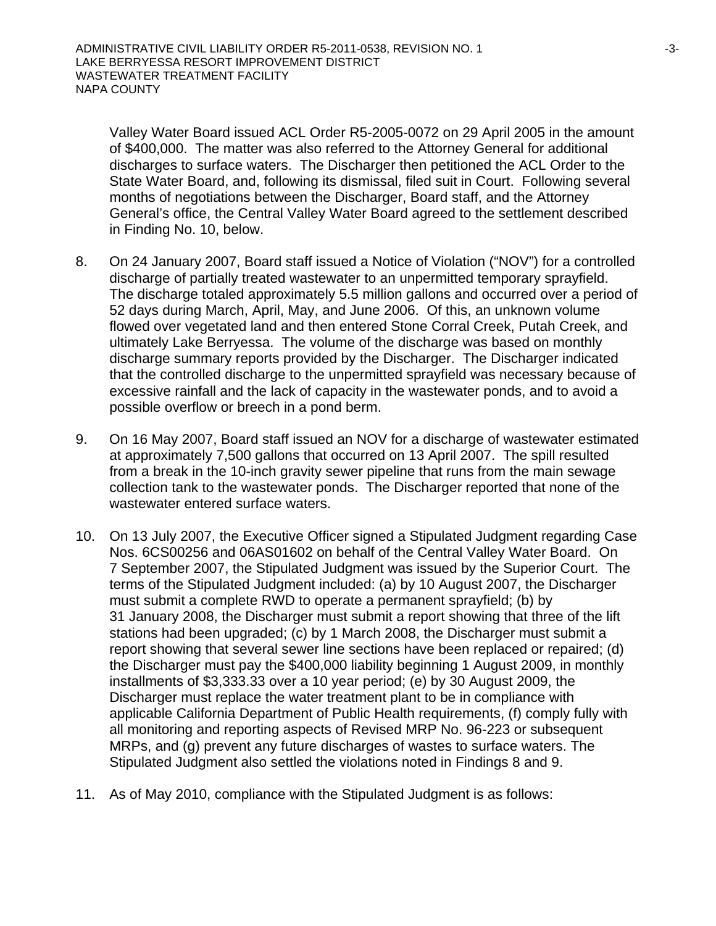Valley Water Board issued ACL Order R5-2005-0072 on 29 April 2005 in the amount of \$400,000. The matter was also referred to the Attorney General for additional discharges to surface waters. The Discharger then petitioned the ACL Order to the State Water Board, and, following its dismissal, filed suit in Court. Following several months of negotiations between the Discharger, Board staff, and the Attorney General's office, the Central Valley Water Board agreed to the settlement described in Finding No. 10, below.

- 8. On 24 January 2007, Board staff issued a Notice of Violation ("NOV") for a controlled discharge of partially treated wastewater to an unpermitted temporary sprayfield. The discharge totaled approximately 5.5 million gallons and occurred over a period of 52 days during March, April, May, and June 2006. Of this, an unknown volume flowed over vegetated land and then entered Stone Corral Creek, Putah Creek, and ultimately Lake Berryessa. The volume of the discharge was based on monthly discharge summary reports provided by the Discharger. The Discharger indicated that the controlled discharge to the unpermitted sprayfield was necessary because of excessive rainfall and the lack of capacity in the wastewater ponds, and to avoid a possible overflow or breech in a pond berm.
- 9. On 16 May 2007, Board staff issued an NOV for a discharge of wastewater estimated at approximately 7,500 gallons that occurred on 13 April 2007. The spill resulted from a break in the 10-inch gravity sewer pipeline that runs from the main sewage collection tank to the wastewater ponds. The Discharger reported that none of the wastewater entered surface waters.
- 10. On 13 July 2007, the Executive Officer signed a Stipulated Judgment regarding Case Nos. 6CS00256 and 06AS01602 on behalf of the Central Valley Water Board. On 7 September 2007, the Stipulated Judgment was issued by the Superior Court. The terms of the Stipulated Judgment included: (a) by 10 August 2007, the Discharger must submit a complete RWD to operate a permanent sprayfield; (b) by 31 January 2008, the Discharger must submit a report showing that three of the lift stations had been upgraded; (c) by 1 March 2008, the Discharger must submit a report showing that several sewer line sections have been replaced or repaired; (d) the Discharger must pay the \$400,000 liability beginning 1 August 2009, in monthly installments of \$3,333.33 over a 10 year period; (e) by 30 August 2009, the Discharger must replace the water treatment plant to be in compliance with applicable California Department of Public Health requirements, (f) comply fully with all monitoring and reporting aspects of Revised MRP No. 96-223 or subsequent MRPs, and (g) prevent any future discharges of wastes to surface waters. The Stipulated Judgment also settled the violations noted in Findings 8 and 9.
- 11. As of May 2010, compliance with the Stipulated Judgment is as follows: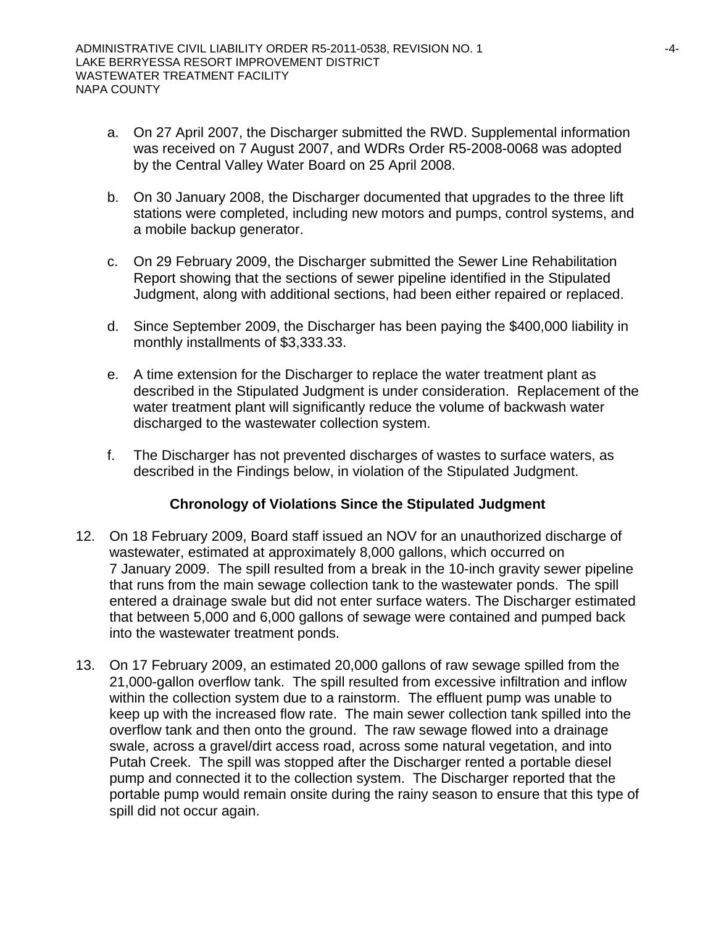- a. On 27 April 2007, the Discharger submitted the RWD. Supplemental information was received on 7 August 2007, and WDRs Order R5-2008-0068 was adopted by the Central Valley Water Board on 25 April 2008.
- b. On 30 January 2008, the Discharger documented that upgrades to the three lift stations were completed, including new motors and pumps, control systems, and a mobile backup generator.
- c. On 29 February 2009, the Discharger submitted the Sewer Line Rehabilitation Report showing that the sections of sewer pipeline identified in the Stipulated Judgment, along with additional sections, had been either repaired or replaced.
- d. Since September 2009, the Discharger has been paying the \$400,000 liability in monthly installments of \$3,333.33.
- e. A time extension for the Discharger to replace the water treatment plant as described in the Stipulated Judgment is under consideration. Replacement of the water treatment plant will significantly reduce the volume of backwash water discharged to the wastewater collection system.
- f. The Discharger has not prevented discharges of wastes to surface waters, as described in the Findings below, in violation of the Stipulated Judgment.

### **Chronology of Violations Since the Stipulated Judgment**

- 12. On 18 February 2009, Board staff issued an NOV for an unauthorized discharge of wastewater, estimated at approximately 8,000 gallons, which occurred on 7 January 2009. The spill resulted from a break in the 10-inch gravity sewer pipeline that runs from the main sewage collection tank to the wastewater ponds. The spill entered a drainage swale but did not enter surface waters. The Discharger estimated that between 5,000 and 6,000 gallons of sewage were contained and pumped back into the wastewater treatment ponds.
- 13. On 17 February 2009, an estimated 20,000 gallons of raw sewage spilled from the 21,000-gallon overflow tank. The spill resulted from excessive infiltration and inflow within the collection system due to a rainstorm. The effluent pump was unable to keep up with the increased flow rate. The main sewer collection tank spilled into the overflow tank and then onto the ground. The raw sewage flowed into a drainage swale, across a gravel/dirt access road, across some natural vegetation, and into Putah Creek. The spill was stopped after the Discharger rented a portable diesel pump and connected it to the collection system. The Discharger reported that the portable pump would remain onsite during the rainy season to ensure that this type of spill did not occur again.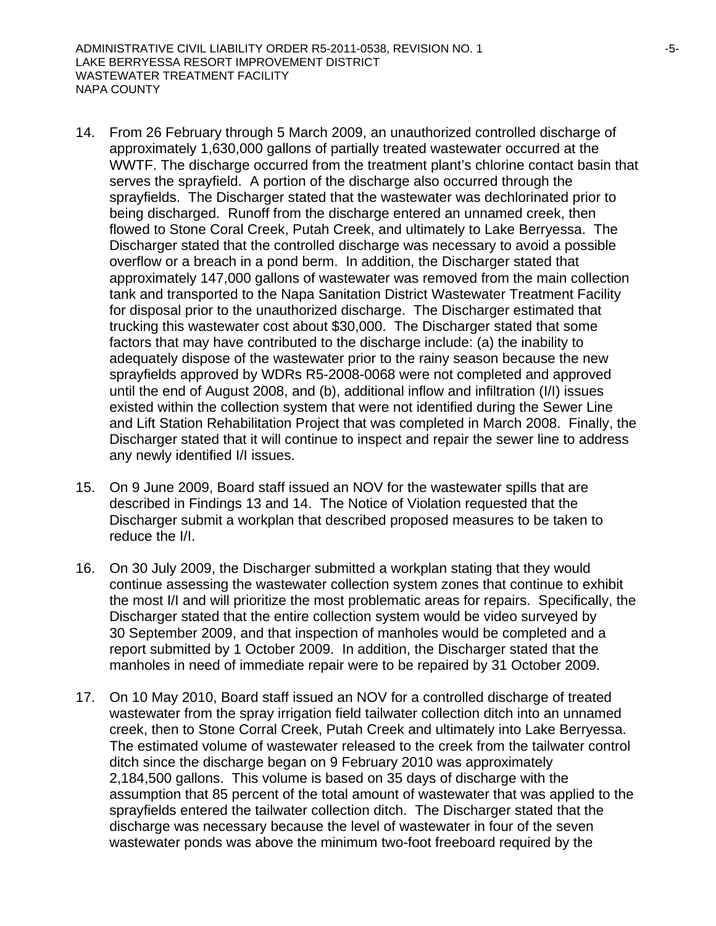- 14. From 26 February through 5 March 2009, an unauthorized controlled discharge of approximately 1,630,000 gallons of partially treated wastewater occurred at the WWTF. The discharge occurred from the treatment plant's chlorine contact basin that serves the sprayfield. A portion of the discharge also occurred through the sprayfields. The Discharger stated that the wastewater was dechlorinated prior to being discharged. Runoff from the discharge entered an unnamed creek, then flowed to Stone Coral Creek, Putah Creek, and ultimately to Lake Berryessa. The Discharger stated that the controlled discharge was necessary to avoid a possible overflow or a breach in a pond berm. In addition, the Discharger stated that approximately 147,000 gallons of wastewater was removed from the main collection tank and transported to the Napa Sanitation District Wastewater Treatment Facility for disposal prior to the unauthorized discharge. The Discharger estimated that trucking this wastewater cost about \$30,000. The Discharger stated that some factors that may have contributed to the discharge include: (a) the inability to adequately dispose of the wastewater prior to the rainy season because the new sprayfields approved by WDRs R5-2008-0068 were not completed and approved until the end of August 2008, and (b), additional inflow and infiltration (I/I) issues existed within the collection system that were not identified during the Sewer Line and Lift Station Rehabilitation Project that was completed in March 2008. Finally, the Discharger stated that it will continue to inspect and repair the sewer line to address any newly identified I/I issues.
- 15. On 9 June 2009, Board staff issued an NOV for the wastewater spills that are described in Findings 13 and 14. The Notice of Violation requested that the Discharger submit a workplan that described proposed measures to be taken to reduce the I/I.
- 16. On 30 July 2009, the Discharger submitted a workplan stating that they would continue assessing the wastewater collection system zones that continue to exhibit the most I/I and will prioritize the most problematic areas for repairs. Specifically, the Discharger stated that the entire collection system would be video surveyed by 30 September 2009, and that inspection of manholes would be completed and a report submitted by 1 October 2009. In addition, the Discharger stated that the manholes in need of immediate repair were to be repaired by 31 October 2009.
- 17. On 10 May 2010, Board staff issued an NOV for a controlled discharge of treated wastewater from the spray irrigation field tailwater collection ditch into an unnamed creek, then to Stone Corral Creek, Putah Creek and ultimately into Lake Berryessa. The estimated volume of wastewater released to the creek from the tailwater control ditch since the discharge began on 9 February 2010 was approximately 2,184,500 gallons. This volume is based on 35 days of discharge with the assumption that 85 percent of the total amount of wastewater that was applied to the sprayfields entered the tailwater collection ditch. The Discharger stated that the discharge was necessary because the level of wastewater in four of the seven wastewater ponds was above the minimum two-foot freeboard required by the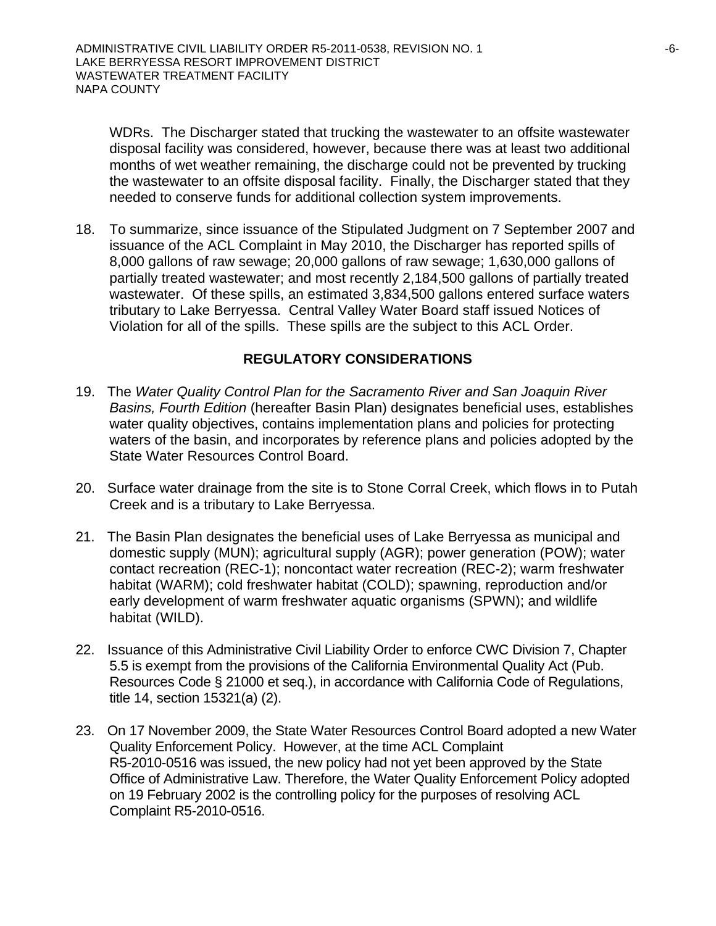WDRs. The Discharger stated that trucking the wastewater to an offsite wastewater disposal facility was considered, however, because there was at least two additional months of wet weather remaining, the discharge could not be prevented by trucking the wastewater to an offsite disposal facility. Finally, the Discharger stated that they needed to conserve funds for additional collection system improvements.

18. To summarize, since issuance of the Stipulated Judgment on 7 September 2007 and issuance of the ACL Complaint in May 2010, the Discharger has reported spills of 8,000 gallons of raw sewage; 20,000 gallons of raw sewage; 1,630,000 gallons of partially treated wastewater; and most recently 2,184,500 gallons of partially treated wastewater. Of these spills, an estimated 3,834,500 gallons entered surface waters tributary to Lake Berryessa. Central Valley Water Board staff issued Notices of Violation for all of the spills. These spills are the subject to this ACL Order.

## **REGULATORY CONSIDERATIONS**

- 19. The *Water Quality Control Plan for the Sacramento River and San Joaquin River Basins, Fourth Edition* (hereafter Basin Plan) designates beneficial uses, establishes water quality objectives, contains implementation plans and policies for protecting waters of the basin, and incorporates by reference plans and policies adopted by the State Water Resources Control Board.
- 20. Surface water drainage from the site is to Stone Corral Creek, which flows in to Putah Creek and is a tributary to Lake Berryessa.
- 21. The Basin Plan designates the beneficial uses of Lake Berryessa as municipal and domestic supply (MUN); agricultural supply (AGR); power generation (POW); water contact recreation (REC-1); noncontact water recreation (REC-2); warm freshwater habitat (WARM); cold freshwater habitat (COLD); spawning, reproduction and/or early development of warm freshwater aquatic organisms (SPWN); and wildlife habitat (WILD).
- 22. Issuance of this Administrative Civil Liability Order to enforce CWC Division 7, Chapter 5.5 is exempt from the provisions of the California Environmental Quality Act (Pub. Resources Code § 21000 et seq.), in accordance with California Code of Regulations, title 14, section 15321(a) (2).
- 23. On 17 November 2009, the State Water Resources Control Board adopted a new Water Quality Enforcement Policy. However, at the time ACL Complaint R5-2010-0516 was issued, the new policy had not yet been approved by the State Office of Administrative Law. Therefore, the Water Quality Enforcement Policy adopted on 19 February 2002 is the controlling policy for the purposes of resolving ACL Complaint R5-2010-0516.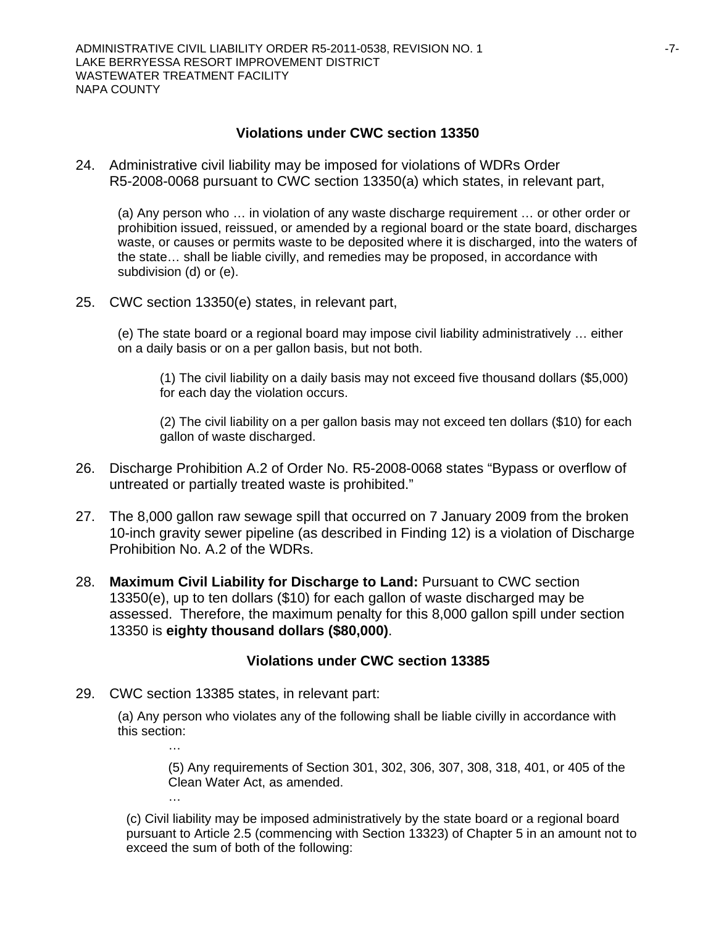#### **Violations under CWC section 13350**

24. Administrative civil liability may be imposed for violations of WDRs Order R5-2008-0068 pursuant to CWC section 13350(a) which states, in relevant part,

(a) Any person who … in violation of any waste discharge requirement … or other order or prohibition issued, reissued, or amended by a regional board or the state board, discharges waste, or causes or permits waste to be deposited where it is discharged, into the waters of the state… shall be liable civilly, and remedies may be proposed, in accordance with subdivision (d) or (e).

25. CWC section 13350(e) states, in relevant part,

(e) The state board or a regional board may impose civil liability administratively … either on a daily basis or on a per gallon basis, but not both.

(1) The civil liability on a daily basis may not exceed five thousand dollars (\$5,000) for each day the violation occurs.

(2) The civil liability on a per gallon basis may not exceed ten dollars (\$10) for each gallon of waste discharged.

- 26. Discharge Prohibition A.2 of Order No. R5-2008-0068 states "Bypass or overflow of untreated or partially treated waste is prohibited."
- 27. The 8,000 gallon raw sewage spill that occurred on 7 January 2009 from the broken 10-inch gravity sewer pipeline (as described in Finding 12) is a violation of Discharge Prohibition No. A.2 of the WDRs.
- 28. **Maximum Civil Liability for Discharge to Land:** Pursuant to CWC section 13350(e), up to ten dollars (\$10) for each gallon of waste discharged may be assessed. Therefore, the maximum penalty for this 8,000 gallon spill under section 13350 is **eighty thousand dollars (\$80,000)**.

### **Violations under CWC section 13385**

29. CWC section 13385 states, in relevant part:

…

(a) Any person who violates any of the following shall be liable civilly in accordance with this section:

(5) Any requirements of Section 301, 302, 306, 307, 308, 318, 401, or 405 of the Clean Water Act, as amended.

(c) Civil liability may be imposed administratively by the state board or a regional board pursuant to Article 2.5 (commencing with Section 13323) of Chapter 5 in an amount not to exceed the sum of both of the following: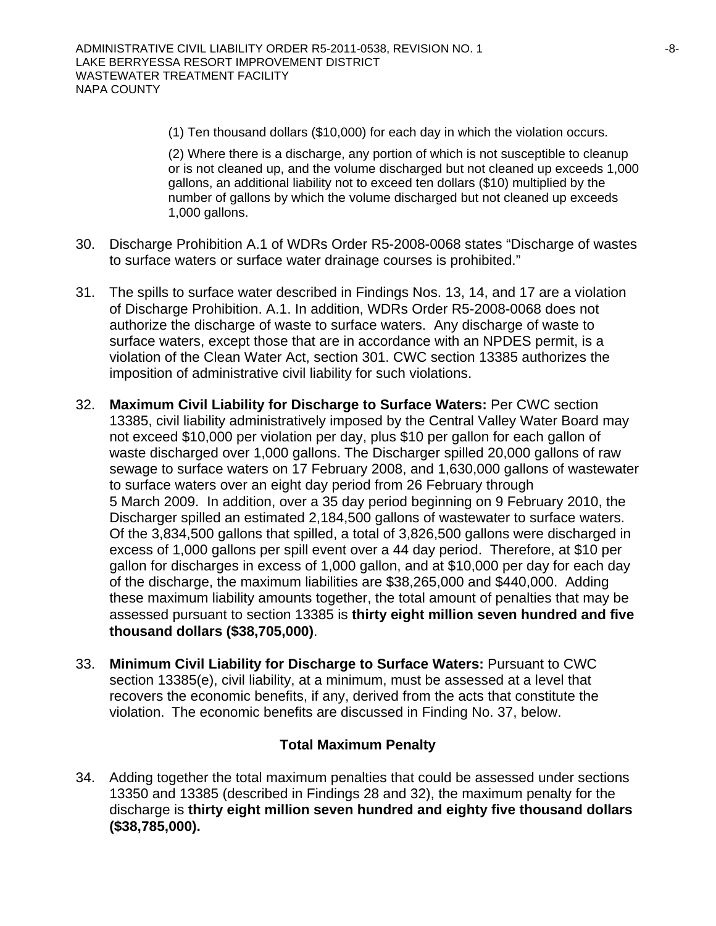(1) Ten thousand dollars (\$10,000) for each day in which the violation occurs.

(2) Where there is a discharge, any portion of which is not susceptible to cleanup or is not cleaned up, and the volume discharged but not cleaned up exceeds 1,000 gallons, an additional liability not to exceed ten dollars (\$10) multiplied by the number of gallons by which the volume discharged but not cleaned up exceeds 1,000 gallons.

- 30. Discharge Prohibition A.1 of WDRs Order R5-2008-0068 states "Discharge of wastes to surface waters or surface water drainage courses is prohibited."
- 31. The spills to surface water described in Findings Nos. 13, 14, and 17 are a violation of Discharge Prohibition. A.1. In addition, WDRs Order R5-2008-0068 does not authorize the discharge of waste to surface waters. Any discharge of waste to surface waters, except those that are in accordance with an NPDES permit, is a violation of the Clean Water Act, section 301. CWC section 13385 authorizes the imposition of administrative civil liability for such violations.
- 32. **Maximum Civil Liability for Discharge to Surface Waters:** Per CWC section 13385, civil liability administratively imposed by the Central Valley Water Board may not exceed \$10,000 per violation per day, plus \$10 per gallon for each gallon of waste discharged over 1,000 gallons. The Discharger spilled 20,000 gallons of raw sewage to surface waters on 17 February 2008, and 1,630,000 gallons of wastewater to surface waters over an eight day period from 26 February through 5 March 2009. In addition, over a 35 day period beginning on 9 February 2010, the Discharger spilled an estimated 2,184,500 gallons of wastewater to surface waters. Of the 3,834,500 gallons that spilled, a total of 3,826,500 gallons were discharged in excess of 1,000 gallons per spill event over a 44 day period. Therefore, at \$10 per gallon for discharges in excess of 1,000 gallon, and at \$10,000 per day for each day of the discharge, the maximum liabilities are \$38,265,000 and \$440,000. Adding these maximum liability amounts together, the total amount of penalties that may be assessed pursuant to section 13385 is **thirty eight million seven hundred and five thousand dollars (\$38,705,000)**.
- 33. **Minimum Civil Liability for Discharge to Surface Waters:** Pursuant to CWC section 13385(e), civil liability, at a minimum, must be assessed at a level that recovers the economic benefits, if any, derived from the acts that constitute the violation. The economic benefits are discussed in Finding No. 37, below.

### **Total Maximum Penalty**

34. Adding together the total maximum penalties that could be assessed under sections 13350 and 13385 (described in Findings 28 and 32), the maximum penalty for the discharge is **thirty eight million seven hundred and eighty five thousand dollars (\$38,785,000).**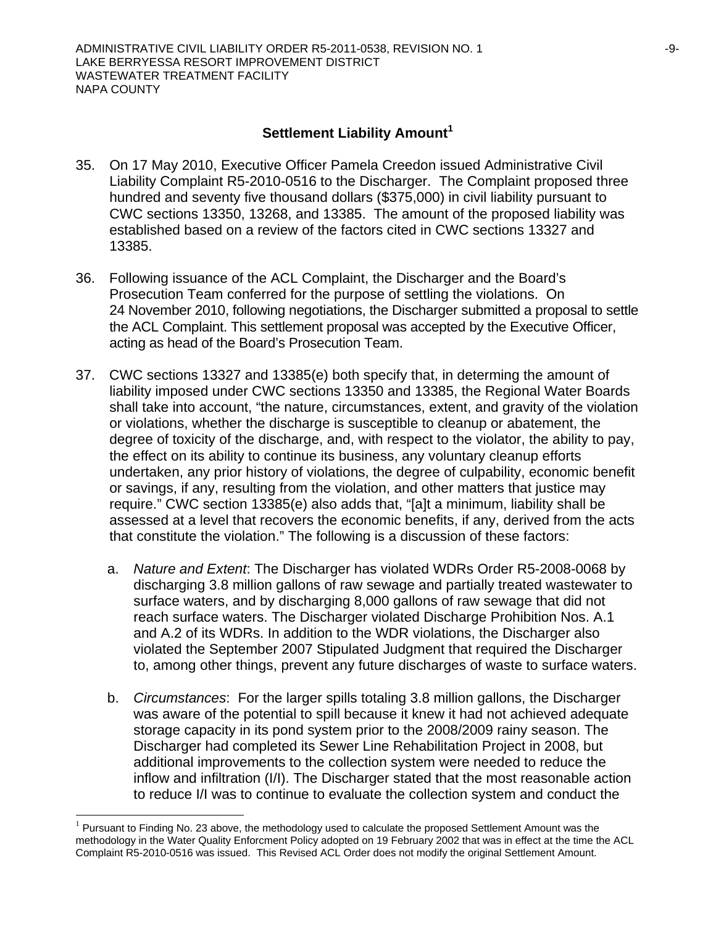## **Settlement Liability Amount<sup>1</sup>**

- 35. On 17 May 2010, Executive Officer Pamela Creedon issued Administrative Civil Liability Complaint R5-2010-0516 to the Discharger. The Complaint proposed three hundred and seventy five thousand dollars (\$375,000) in civil liability pursuant to CWC sections 13350, 13268, and 13385. The amount of the proposed liability was established based on a review of the factors cited in CWC sections 13327 and 13385.
- 36. Following issuance of the ACL Complaint, the Discharger and the Board's Prosecution Team conferred for the purpose of settling the violations. On 24 November 2010, following negotiations, the Discharger submitted a proposal to settle the ACL Complaint. This settlement proposal was accepted by the Executive Officer, acting as head of the Board's Prosecution Team.
- 37. CWC sections 13327 and 13385(e) both specify that, in determing the amount of liability imposed under CWC sections 13350 and 13385, the Regional Water Boards shall take into account, "the nature, circumstances, extent, and gravity of the violation or violations, whether the discharge is susceptible to cleanup or abatement, the degree of toxicity of the discharge, and, with respect to the violator, the ability to pay, the effect on its ability to continue its business, any voluntary cleanup efforts undertaken, any prior history of violations, the degree of culpability, economic benefit or savings, if any, resulting from the violation, and other matters that justice may require." CWC section 13385(e) also adds that, "[a]t a minimum, liability shall be assessed at a level that recovers the economic benefits, if any, derived from the acts that constitute the violation." The following is a discussion of these factors:
	- a. *Nature and Extent*: The Discharger has violated WDRs Order R5-2008-0068 by discharging 3.8 million gallons of raw sewage and partially treated wastewater to surface waters, and by discharging 8,000 gallons of raw sewage that did not reach surface waters. The Discharger violated Discharge Prohibition Nos. A.1 and A.2 of its WDRs. In addition to the WDR violations, the Discharger also violated the September 2007 Stipulated Judgment that required the Discharger to, among other things, prevent any future discharges of waste to surface waters.
	- b. *Circumstances*: For the larger spills totaling 3.8 million gallons, the Discharger was aware of the potential to spill because it knew it had not achieved adequate storage capacity in its pond system prior to the 2008/2009 rainy season. The Discharger had completed its Sewer Line Rehabilitation Project in 2008, but additional improvements to the collection system were needed to reduce the inflow and infiltration (I/I). The Discharger stated that the most reasonable action to reduce I/I was to continue to evaluate the collection system and conduct the

l

 $1$  Pursuant to Finding No. 23 above, the methodology used to calculate the proposed Settlement Amount was the methodology in the Water Quality Enforcment Policy adopted on 19 February 2002 that was in effect at the time the ACL Complaint R5-2010-0516 was issued. This Revised ACL Order does not modify the original Settlement Amount.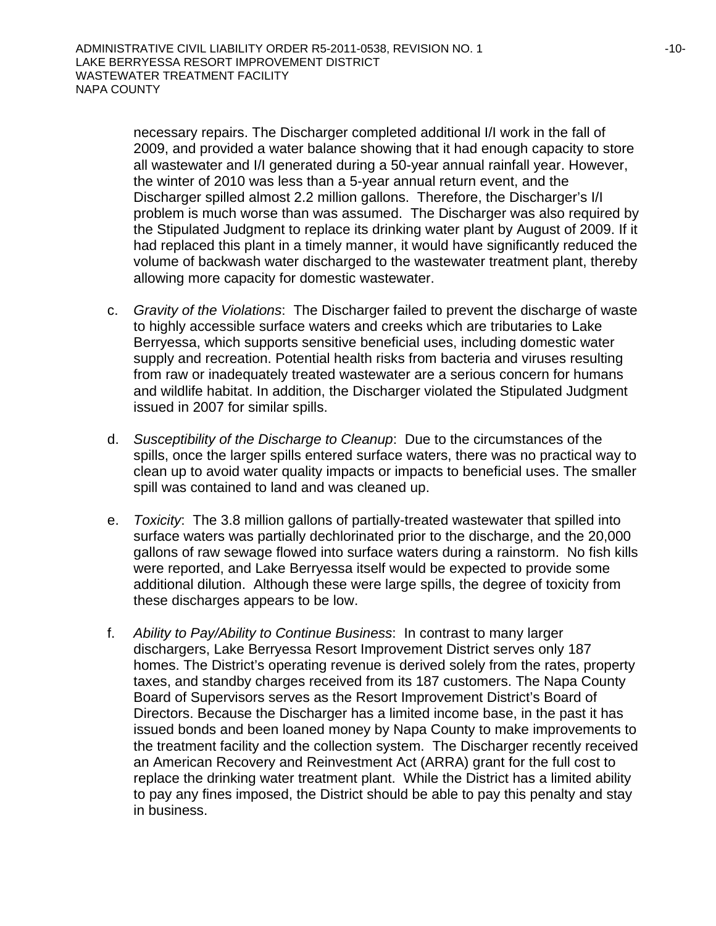necessary repairs. The Discharger completed additional I/I work in the fall of 2009, and provided a water balance showing that it had enough capacity to store all wastewater and I/I generated during a 50-year annual rainfall year. However, the winter of 2010 was less than a 5-year annual return event, and the Discharger spilled almost 2.2 million gallons. Therefore, the Discharger's I/I problem is much worse than was assumed. The Discharger was also required by the Stipulated Judgment to replace its drinking water plant by August of 2009. If it had replaced this plant in a timely manner, it would have significantly reduced the volume of backwash water discharged to the wastewater treatment plant, thereby allowing more capacity for domestic wastewater.

- c. *Gravity of the Violations*: The Discharger failed to prevent the discharge of waste to highly accessible surface waters and creeks which are tributaries to Lake Berryessa, which supports sensitive beneficial uses, including domestic water supply and recreation. Potential health risks from bacteria and viruses resulting from raw or inadequately treated wastewater are a serious concern for humans and wildlife habitat. In addition, the Discharger violated the Stipulated Judgment issued in 2007 for similar spills.
- d. *Susceptibility of the Discharge to Cleanup*: Due to the circumstances of the spills, once the larger spills entered surface waters, there was no practical way to clean up to avoid water quality impacts or impacts to beneficial uses. The smaller spill was contained to land and was cleaned up.
- e. *Toxicity*: The 3.8 million gallons of partially-treated wastewater that spilled into surface waters was partially dechlorinated prior to the discharge, and the 20,000 gallons of raw sewage flowed into surface waters during a rainstorm. No fish kills were reported, and Lake Berryessa itself would be expected to provide some additional dilution. Although these were large spills, the degree of toxicity from these discharges appears to be low.
- f. *Ability to Pay/Ability to Continue Business*: In contrast to many larger dischargers, Lake Berryessa Resort Improvement District serves only 187 homes. The District's operating revenue is derived solely from the rates, property taxes, and standby charges received from its 187 customers. The Napa County Board of Supervisors serves as the Resort Improvement District's Board of Directors. Because the Discharger has a limited income base, in the past it has issued bonds and been loaned money by Napa County to make improvements to the treatment facility and the collection system. The Discharger recently received an American Recovery and Reinvestment Act (ARRA) grant for the full cost to replace the drinking water treatment plant. While the District has a limited ability to pay any fines imposed, the District should be able to pay this penalty and stay in business.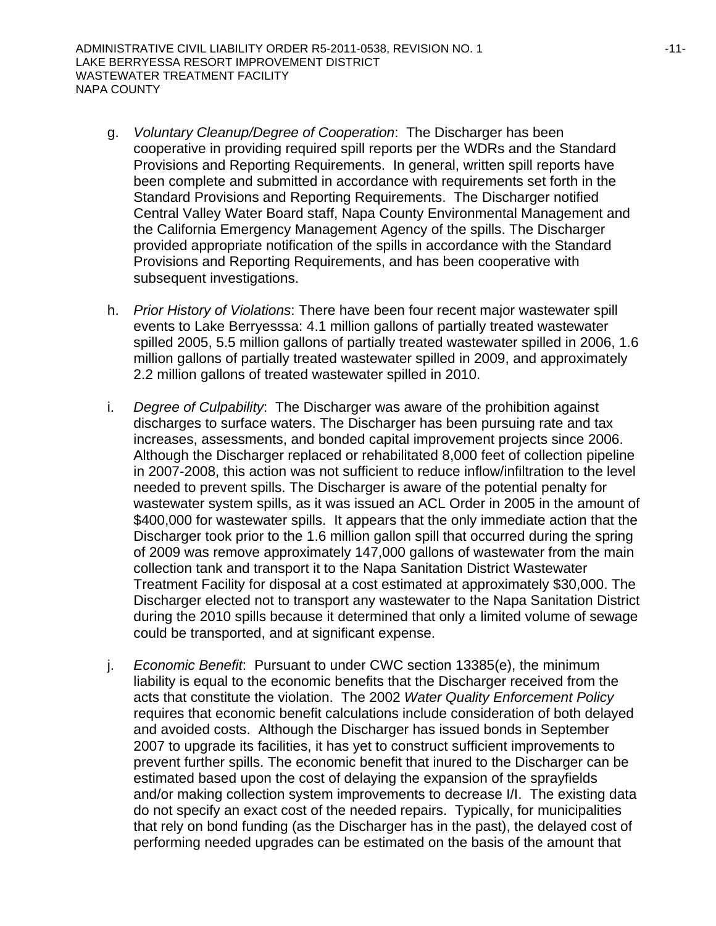- g. *Voluntary Cleanup/Degree of Cooperation*: The Discharger has been cooperative in providing required spill reports per the WDRs and the Standard Provisions and Reporting Requirements. In general, written spill reports have been complete and submitted in accordance with requirements set forth in the Standard Provisions and Reporting Requirements. The Discharger notified Central Valley Water Board staff, Napa County Environmental Management and the California Emergency Management Agency of the spills. The Discharger provided appropriate notification of the spills in accordance with the Standard Provisions and Reporting Requirements, and has been cooperative with subsequent investigations.
- h. *Prior History of Violations*: There have been four recent major wastewater spill events to Lake Berryesssa: 4.1 million gallons of partially treated wastewater spilled 2005, 5.5 million gallons of partially treated wastewater spilled in 2006, 1.6 million gallons of partially treated wastewater spilled in 2009, and approximately 2.2 million gallons of treated wastewater spilled in 2010.
- i. *Degree of Culpability*: The Discharger was aware of the prohibition against discharges to surface waters. The Discharger has been pursuing rate and tax increases, assessments, and bonded capital improvement projects since 2006. Although the Discharger replaced or rehabilitated 8,000 feet of collection pipeline in 2007-2008, this action was not sufficient to reduce inflow/infiltration to the level needed to prevent spills. The Discharger is aware of the potential penalty for wastewater system spills, as it was issued an ACL Order in 2005 in the amount of \$400,000 for wastewater spills. It appears that the only immediate action that the Discharger took prior to the 1.6 million gallon spill that occurred during the spring of 2009 was remove approximately 147,000 gallons of wastewater from the main collection tank and transport it to the Napa Sanitation District Wastewater Treatment Facility for disposal at a cost estimated at approximately \$30,000. The Discharger elected not to transport any wastewater to the Napa Sanitation District during the 2010 spills because it determined that only a limited volume of sewage could be transported, and at significant expense.
- j. *Economic Benefit*: Pursuant to under CWC section 13385(e), the minimum liability is equal to the economic benefits that the Discharger received from the acts that constitute the violation. The 2002 *Water Quality Enforcement Policy* requires that economic benefit calculations include consideration of both delayed and avoided costs. Although the Discharger has issued bonds in September 2007 to upgrade its facilities, it has yet to construct sufficient improvements to prevent further spills. The economic benefit that inured to the Discharger can be estimated based upon the cost of delaying the expansion of the sprayfields and/or making collection system improvements to decrease I/I. The existing data do not specify an exact cost of the needed repairs. Typically, for municipalities that rely on bond funding (as the Discharger has in the past), the delayed cost of performing needed upgrades can be estimated on the basis of the amount that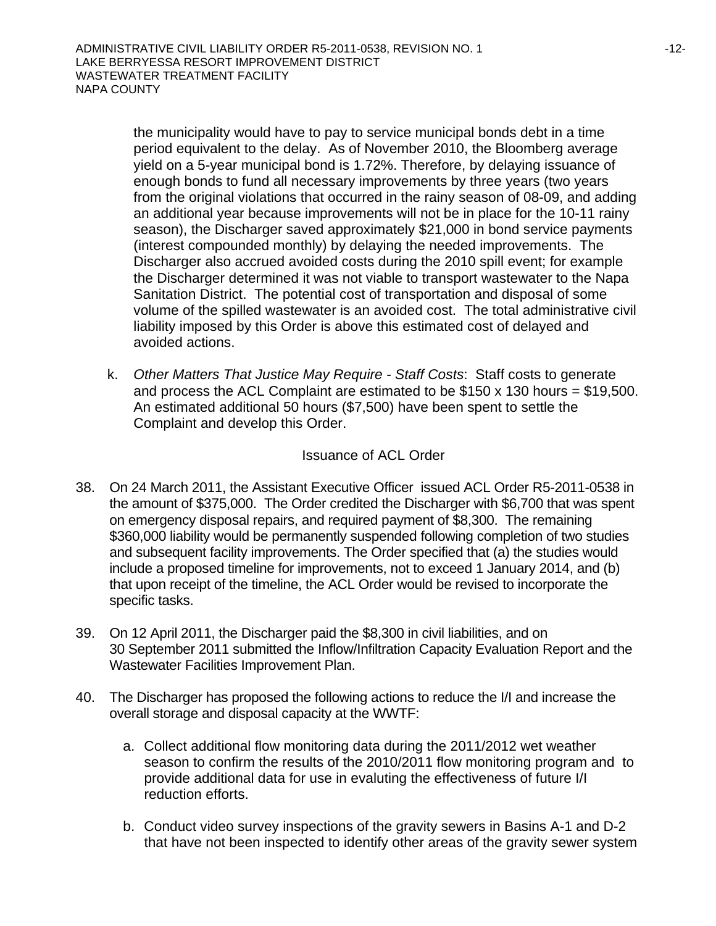the municipality would have to pay to service municipal bonds debt in a time period equivalent to the delay. As of November 2010, the Bloomberg average yield on a 5-year municipal bond is 1.72%. Therefore, by delaying issuance of enough bonds to fund all necessary improvements by three years (two years from the original violations that occurred in the rainy season of 08-09, and adding an additional year because improvements will not be in place for the 10-11 rainy season), the Discharger saved approximately \$21,000 in bond service payments (interest compounded monthly) by delaying the needed improvements. The Discharger also accrued avoided costs during the 2010 spill event; for example the Discharger determined it was not viable to transport wastewater to the Napa Sanitation District. The potential cost of transportation and disposal of some volume of the spilled wastewater is an avoided cost. The total administrative civil liability imposed by this Order is above this estimated cost of delayed and avoided actions.

k. *Other Matters That Justice May Require - Staff Costs*: Staff costs to generate and process the ACL Complaint are estimated to be  $$150 \times 130$  hours = \$19,500. An estimated additional 50 hours (\$7,500) have been spent to settle the Complaint and develop this Order.

## Issuance of ACL Order

- 38. On 24 March 2011, the Assistant Executive Officer issued ACL Order R5-2011-0538 in the amount of \$375,000. The Order credited the Discharger with \$6,700 that was spent on emergency disposal repairs, and required payment of \$8,300. The remaining \$360,000 liability would be permanently suspended following completion of two studies and subsequent facility improvements. The Order specified that (a) the studies would include a proposed timeline for improvements, not to exceed 1 January 2014, and (b) that upon receipt of the timeline, the ACL Order would be revised to incorporate the specific tasks.
- 39. On 12 April 2011, the Discharger paid the \$8,300 in civil liabilities, and on 30 September 2011 submitted the Inflow/Infiltration Capacity Evaluation Report and the Wastewater Facilities Improvement Plan.
- 40. The Discharger has proposed the following actions to reduce the I/I and increase the overall storage and disposal capacity at the WWTF:
	- a. Collect additional flow monitoring data during the 2011/2012 wet weather season to confirm the results of the 2010/2011 flow monitoring program and to provide additional data for use in evaluting the effectiveness of future I/I reduction efforts.
	- b. Conduct video survey inspections of the gravity sewers in Basins A-1 and D-2 that have not been inspected to identify other areas of the gravity sewer system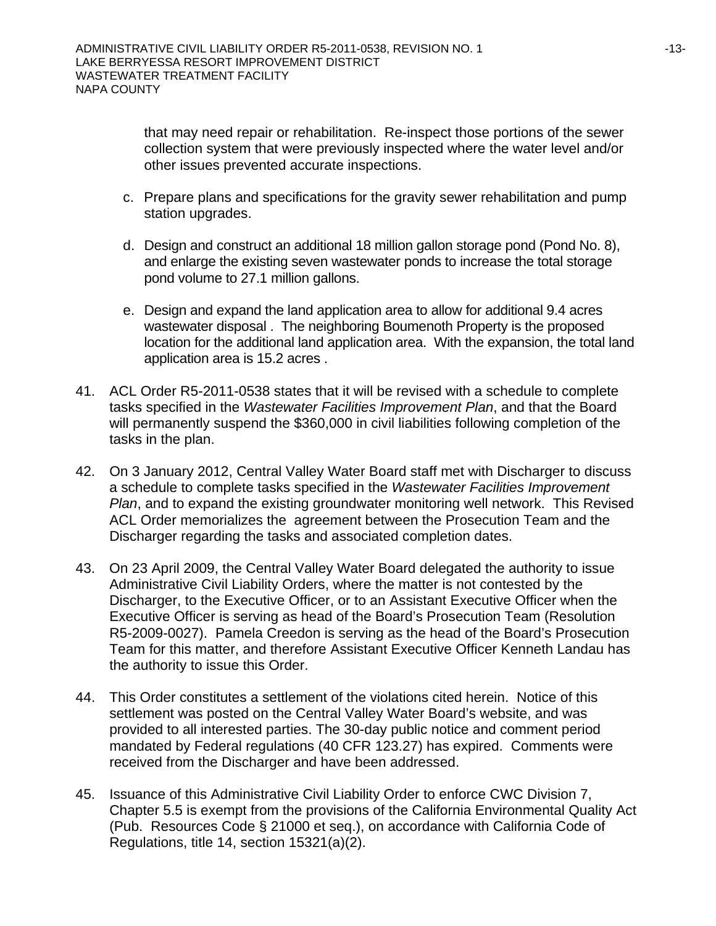that may need repair or rehabilitation. Re-inspect those portions of the sewer collection system that were previously inspected where the water level and/or other issues prevented accurate inspections.

- c. Prepare plans and specifications for the gravity sewer rehabilitation and pump station upgrades.
- d. Design and construct an additional 18 million gallon storage pond (Pond No. 8), and enlarge the existing seven wastewater ponds to increase the total storage pond volume to 27.1 million gallons.
- e. Design and expand the land application area to allow for additional 9.4 acres wastewater disposal . The neighboring Boumenoth Property is the proposed location for the additional land application area. With the expansion, the total land application area is 15.2 acres .
- 41. ACL Order R5-2011-0538 states that it will be revised with a schedule to complete tasks specified in the *Wastewater Facilities Improvement Plan*, and that the Board will permanently suspend the \$360,000 in civil liabilities following completion of the tasks in the plan.
- 42. On 3 January 2012, Central Valley Water Board staff met with Discharger to discuss a schedule to complete tasks specified in the *Wastewater Facilities Improvement Plan*, and to expand the existing groundwater monitoring well network. This Revised ACL Order memorializes the agreement between the Prosecution Team and the Discharger regarding the tasks and associated completion dates.
- 43. On 23 April 2009, the Central Valley Water Board delegated the authority to issue Administrative Civil Liability Orders, where the matter is not contested by the Discharger, to the Executive Officer, or to an Assistant Executive Officer when the Executive Officer is serving as head of the Board's Prosecution Team (Resolution R5-2009-0027). Pamela Creedon is serving as the head of the Board's Prosecution Team for this matter, and therefore Assistant Executive Officer Kenneth Landau has the authority to issue this Order.
- 44. This Order constitutes a settlement of the violations cited herein. Notice of this settlement was posted on the Central Valley Water Board's website, and was provided to all interested parties. The 30-day public notice and comment period mandated by Federal regulations (40 CFR 123.27) has expired. Comments were received from the Discharger and have been addressed.
- 45. Issuance of this Administrative Civil Liability Order to enforce CWC Division 7, Chapter 5.5 is exempt from the provisions of the California Environmental Quality Act (Pub. Resources Code § 21000 et seq.), on accordance with California Code of Regulations, title 14, section 15321(a)(2).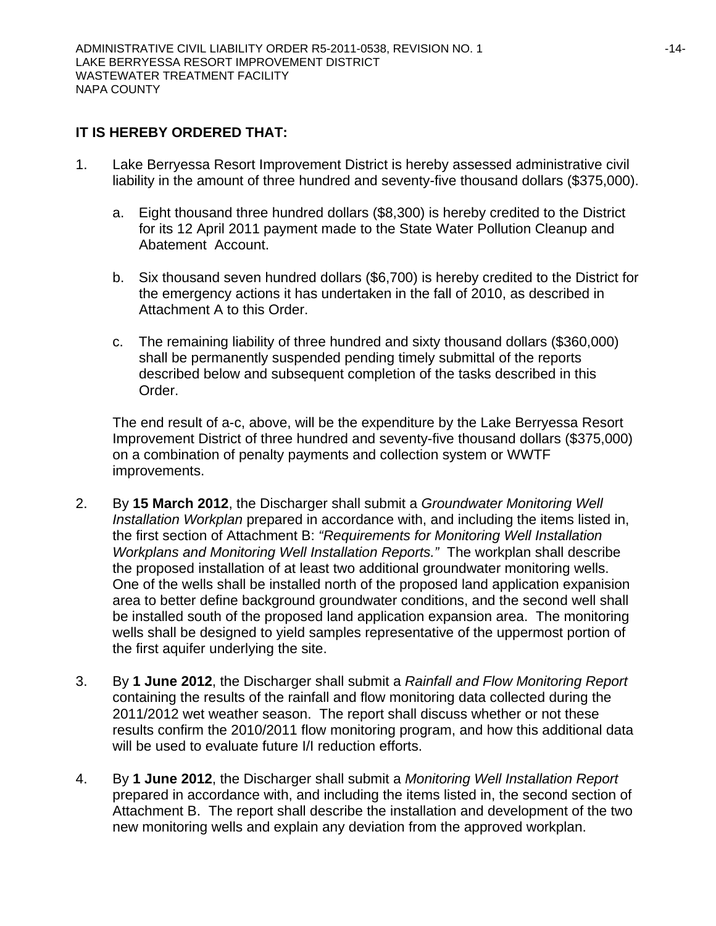## **IT IS HEREBY ORDERED THAT:**

- 1. Lake Berryessa Resort Improvement District is hereby assessed administrative civil liability in the amount of three hundred and seventy-five thousand dollars (\$375,000).
	- a. Eight thousand three hundred dollars (\$8,300) is hereby credited to the District for its 12 April 2011 payment made to the State Water Pollution Cleanup and Abatement Account.
	- b. Six thousand seven hundred dollars (\$6,700) is hereby credited to the District for the emergency actions it has undertaken in the fall of 2010, as described in Attachment A to this Order.
	- c. The remaining liability of three hundred and sixty thousand dollars (\$360,000) shall be permanently suspended pending timely submittal of the reports described below and subsequent completion of the tasks described in this Order.

The end result of a-c, above, will be the expenditure by the Lake Berryessa Resort Improvement District of three hundred and seventy-five thousand dollars (\$375,000) on a combination of penalty payments and collection system or WWTF improvements.

- 2. By **15 March 2012**, the Discharger shall submit a *Groundwater Monitoring Well Installation Workplan* prepared in accordance with, and including the items listed in, the first section of Attachment B: *"Requirements for Monitoring Well Installation Workplans and Monitoring Well Installation Reports."* The workplan shall describe the proposed installation of at least two additional groundwater monitoring wells. One of the wells shall be installed north of the proposed land application expanision area to better define background groundwater conditions, and the second well shall be installed south of the proposed land application expansion area. The monitoring wells shall be designed to yield samples representative of the uppermost portion of the first aquifer underlying the site.
- 3. By **1 June 2012**, the Discharger shall submit a *Rainfall and Flow Monitoring Report* containing the results of the rainfall and flow monitoring data collected during the 2011/2012 wet weather season. The report shall discuss whether or not these results confirm the 2010/2011 flow monitoring program, and how this additional data will be used to evaluate future I/I reduction efforts.
- 4. By **1 June 2012**, the Discharger shall submit a *Monitoring Well Installation Report* prepared in accordance with, and including the items listed in, the second section of Attachment B. The report shall describe the installation and development of the two new monitoring wells and explain any deviation from the approved workplan.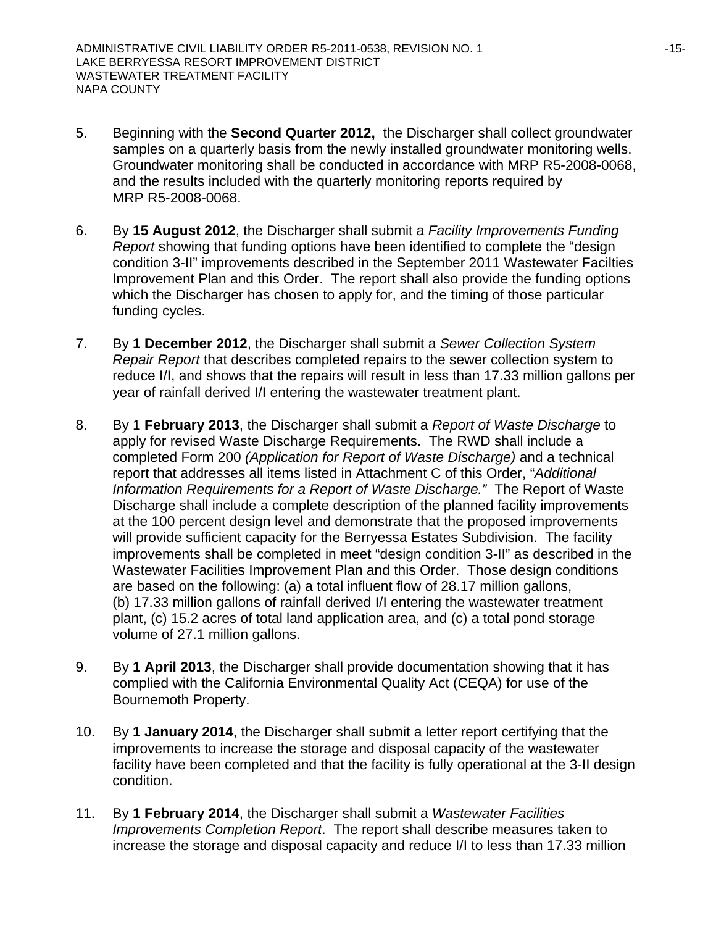- 5. Beginning with the **Second Quarter 2012,** the Discharger shall collect groundwater samples on a quarterly basis from the newly installed groundwater monitoring wells. Groundwater monitoring shall be conducted in accordance with MRP R5-2008-0068, and the results included with the quarterly monitoring reports required by MRP R5-2008-0068.
- 6. By **15 August 2012**, the Discharger shall submit a *Facility Improvements Funding Report* showing that funding options have been identified to complete the "design condition 3-II" improvements described in the September 2011 Wastewater Facilties Improvement Plan and this Order. The report shall also provide the funding options which the Discharger has chosen to apply for, and the timing of those particular funding cycles.
- 7. By **1 December 2012**, the Discharger shall submit a *Sewer Collection System Repair Report* that describes completed repairs to the sewer collection system to reduce I/I, and shows that the repairs will result in less than 17.33 million gallons per year of rainfall derived I/I entering the wastewater treatment plant.
- 8. By 1 **February 2013**, the Discharger shall submit a *Report of Waste Discharge* to apply for revised Waste Discharge Requirements. The RWD shall include a completed Form 200 *(Application for Report of Waste Discharge)* and a technical report that addresses all items listed in Attachment C of this Order, "*Additional Information Requirements for a Report of Waste Discharge."* The Report of Waste Discharge shall include a complete description of the planned facility improvements at the 100 percent design level and demonstrate that the proposed improvements will provide sufficient capacity for the Berryessa Estates Subdivision. The facility improvements shall be completed in meet "design condition 3-II" as described in the Wastewater Facilities Improvement Plan and this Order. Those design conditions are based on the following: (a) a total influent flow of 28.17 million gallons, (b) 17.33 million gallons of rainfall derived I/I entering the wastewater treatment plant, (c) 15.2 acres of total land application area, and (c) a total pond storage volume of 27.1 million gallons.
- 9. By **1 April 2013**, the Discharger shall provide documentation showing that it has complied with the California Environmental Quality Act (CEQA) for use of the Bournemoth Property.
- 10. By **1 January 2014**, the Discharger shall submit a letter report certifying that the improvements to increase the storage and disposal capacity of the wastewater facility have been completed and that the facility is fully operational at the 3-II design condition.
- 11. By **1 February 2014**, the Discharger shall submit a *Wastewater Facilities Improvements Completion Report*. The report shall describe measures taken to increase the storage and disposal capacity and reduce I/I to less than 17.33 million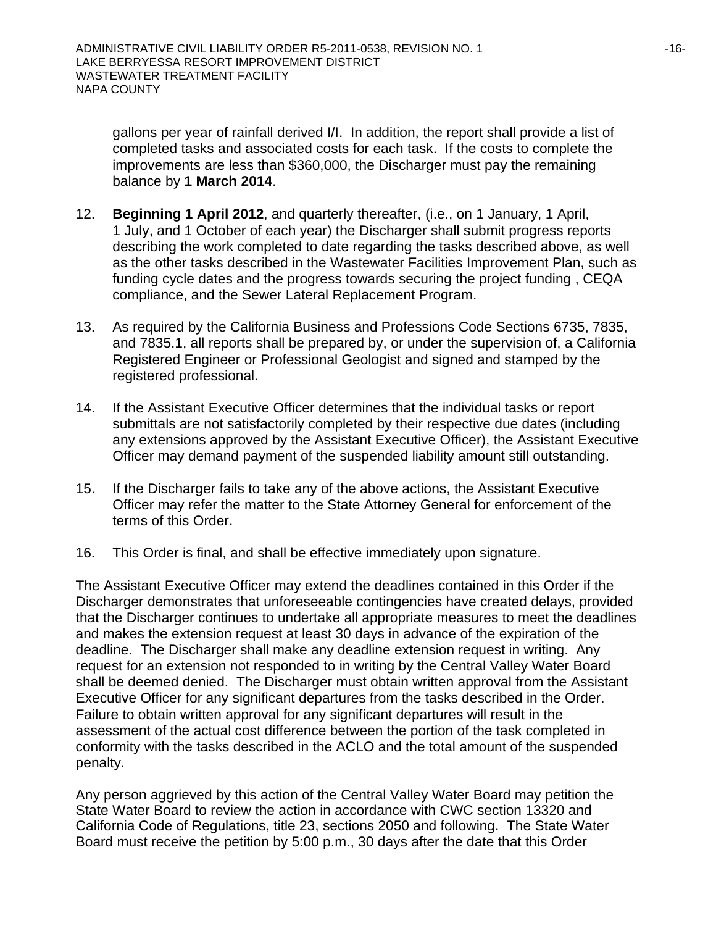gallons per year of rainfall derived I/I. In addition, the report shall provide a list of completed tasks and associated costs for each task. If the costs to complete the improvements are less than \$360,000, the Discharger must pay the remaining balance by **1 March 2014**.

- 12. **Beginning 1 April 2012**, and quarterly thereafter, (i.e., on 1 January, 1 April, 1 July, and 1 October of each year) the Discharger shall submit progress reports describing the work completed to date regarding the tasks described above, as well as the other tasks described in the Wastewater Facilities Improvement Plan, such as funding cycle dates and the progress towards securing the project funding , CEQA compliance, and the Sewer Lateral Replacement Program.
- 13. As required by the California Business and Professions Code Sections 6735, 7835, and 7835.1, all reports shall be prepared by, or under the supervision of, a California Registered Engineer or Professional Geologist and signed and stamped by the registered professional.
- 14. If the Assistant Executive Officer determines that the individual tasks or report submittals are not satisfactorily completed by their respective due dates (including any extensions approved by the Assistant Executive Officer), the Assistant Executive Officer may demand payment of the suspended liability amount still outstanding.
- 15. If the Discharger fails to take any of the above actions, the Assistant Executive Officer may refer the matter to the State Attorney General for enforcement of the terms of this Order.
- 16. This Order is final, and shall be effective immediately upon signature.

The Assistant Executive Officer may extend the deadlines contained in this Order if the Discharger demonstrates that unforeseeable contingencies have created delays, provided that the Discharger continues to undertake all appropriate measures to meet the deadlines and makes the extension request at least 30 days in advance of the expiration of the deadline. The Discharger shall make any deadline extension request in writing. Any request for an extension not responded to in writing by the Central Valley Water Board shall be deemed denied. The Discharger must obtain written approval from the Assistant Executive Officer for any significant departures from the tasks described in the Order. Failure to obtain written approval for any significant departures will result in the assessment of the actual cost difference between the portion of the task completed in conformity with the tasks described in the ACLO and the total amount of the suspended penalty.

Any person aggrieved by this action of the Central Valley Water Board may petition the State Water Board to review the action in accordance with CWC section 13320 and California Code of Regulations, title 23, sections 2050 and following. The State Water Board must receive the petition by 5:00 p.m., 30 days after the date that this Order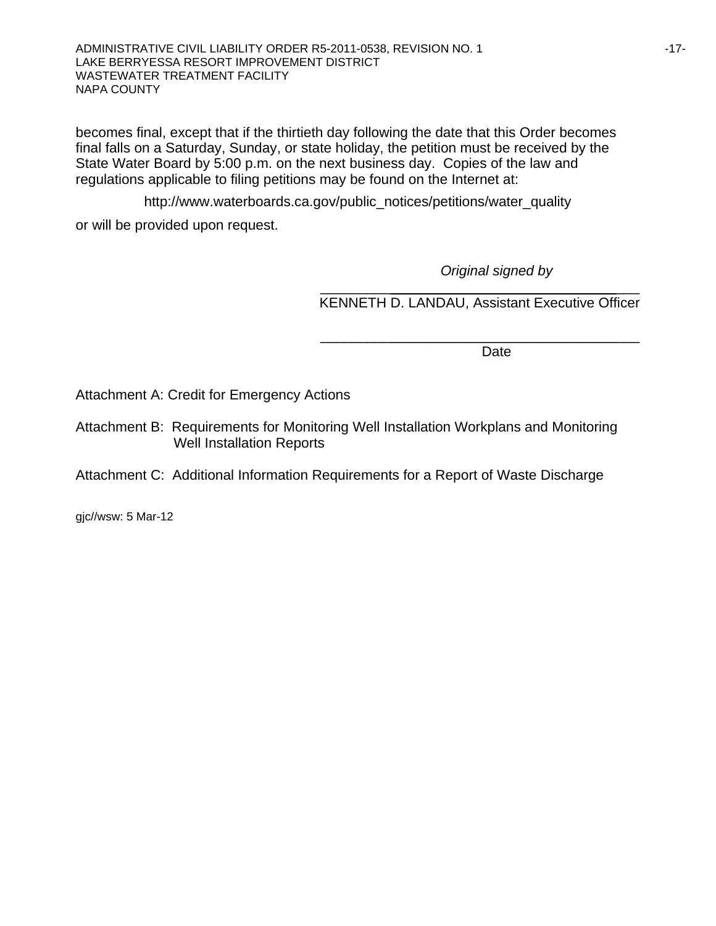ADMINISTRATIVE CIVIL LIABILITY ORDER R5-2011-0538, REVISION NO. 1 **FILL AND ALL ASSESS** 17-17-LAKE BERRYESSA RESORT IMPROVEMENT DISTRICT WASTEWATER TREATMENT FACILITY NAPA COUNTY

becomes final, except that if the thirtieth day following the date that this Order becomes final falls on a Saturday, Sunday, or state holiday, the petition must be received by the State Water Board by 5:00 p.m. on the next business day. Copies of the law and regulations applicable to filing petitions may be found on the Internet at:

http://www.waterboards.ca.gov/public\_notices/petitions/water\_quality or will be provided upon request.

 $\frac{1}{\sqrt{2}}$  ,  $\frac{1}{\sqrt{2}}$  ,  $\frac{1}{\sqrt{2}}$  ,  $\frac{1}{\sqrt{2}}$  ,  $\frac{1}{\sqrt{2}}$  ,  $\frac{1}{\sqrt{2}}$  ,  $\frac{1}{\sqrt{2}}$  ,  $\frac{1}{\sqrt{2}}$  ,  $\frac{1}{\sqrt{2}}$  ,  $\frac{1}{\sqrt{2}}$  ,  $\frac{1}{\sqrt{2}}$  ,  $\frac{1}{\sqrt{2}}$  ,  $\frac{1}{\sqrt{2}}$  ,  $\frac{1}{\sqrt{2}}$  ,  $\frac{1}{\sqrt{2}}$ 

*Original signed by*

KENNETH D. LANDAU, Assistant Executive Officer

\_\_\_\_\_\_\_\_\_\_\_\_\_\_\_\_\_\_\_\_\_\_\_\_\_\_\_\_\_\_\_\_\_\_\_\_\_\_\_\_\_

**Date** and the contract of the contract of the contract of the contract of the contract of the contract of the contract of the contract of the contract of the contract of the contract of the contract of the contract of the

Attachment A: Credit for Emergency Actions

Attachment B: Requirements for Monitoring Well Installation Workplans and Monitoring Well Installation Reports

#### Attachment C: Additional Information Requirements for a Report of Waste Discharge

gjc//wsw: 5 Mar-12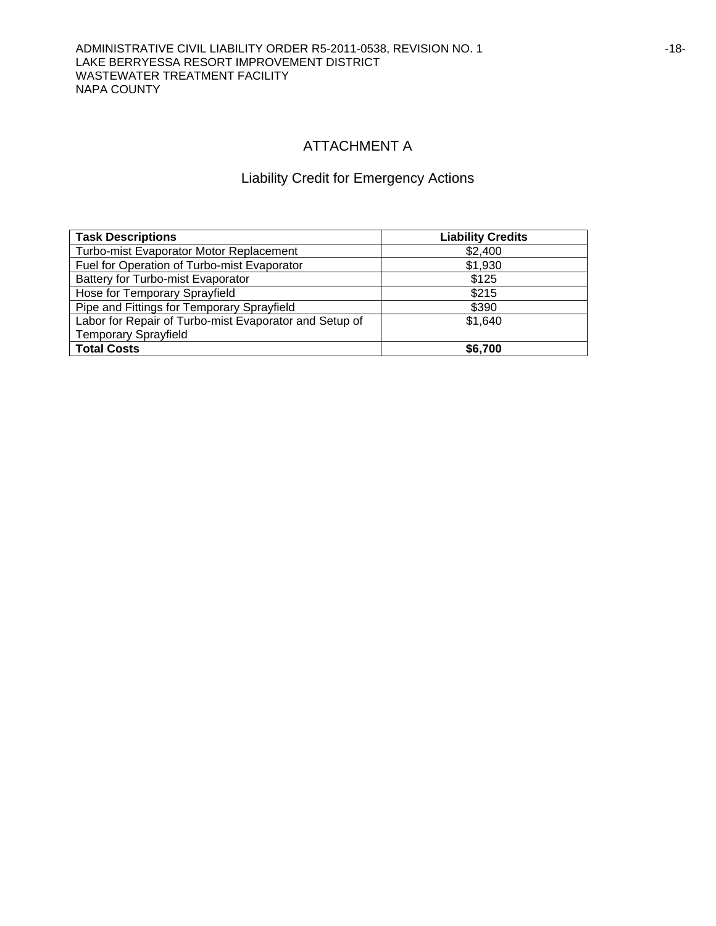## ATTACHMENT A

## Liability Credit for Emergency Actions

| <b>Task Descriptions</b>                               | <b>Liability Credits</b> |
|--------------------------------------------------------|--------------------------|
| <b>Turbo-mist Evaporator Motor Replacement</b>         | \$2,400                  |
| Fuel for Operation of Turbo-mist Evaporator            | \$1,930                  |
| Battery for Turbo-mist Evaporator                      | \$125                    |
| Hose for Temporary Sprayfield                          | \$215                    |
| Pipe and Fittings for Temporary Sprayfield             | \$390                    |
| Labor for Repair of Turbo-mist Evaporator and Setup of | \$1,640                  |
| <b>Temporary Sprayfield</b>                            |                          |
| <b>Total Costs</b>                                     | \$6,700                  |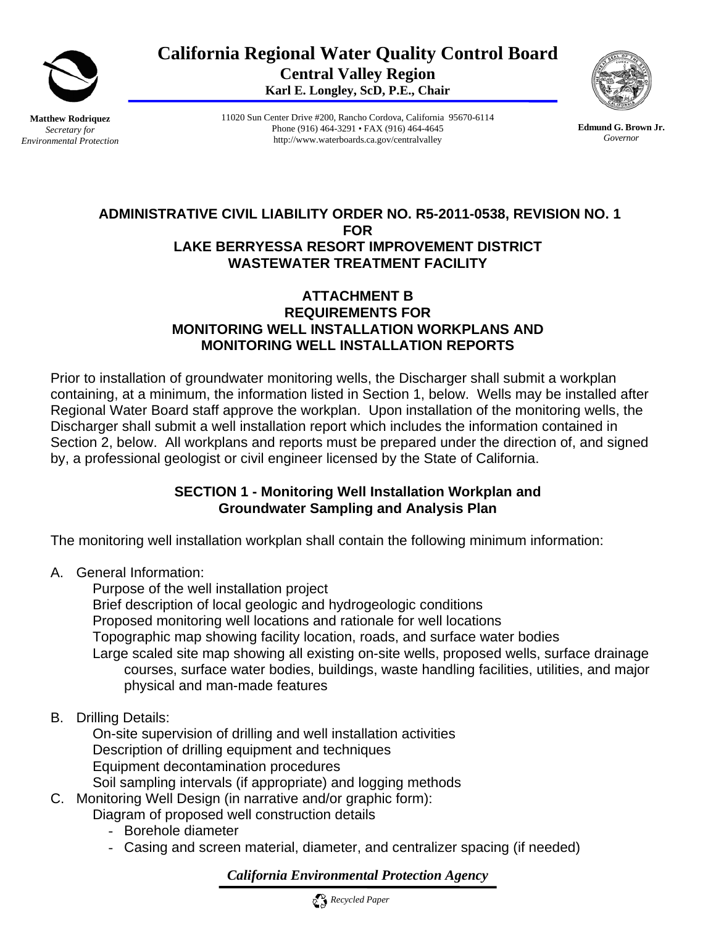

**California Regional Water Quality Control Board Central Valley Region Karl E. Longley, ScD, P.E., Chair** 

**Matthew Rodriquez**  *Secretary for Environmental Protection*  11020 Sun Center Drive #200, Rancho Cordova, California 95670-6114 Phone (916) 464-3291 • FAX (916) 464-4645 http://www.waterboards.ca.gov/centralvalley

**Edmund G. Brown Jr.** *Governor* 

## **ADMINISTRATIVE CIVIL LIABILITY ORDER NO. R5-2011-0538, REVISION NO. 1 FOR LAKE BERRYESSA RESORT IMPROVEMENT DISTRICT WASTEWATER TREATMENT FACILITY**

## **ATTACHMENT B REQUIREMENTS FOR MONITORING WELL INSTALLATION WORKPLANS AND MONITORING WELL INSTALLATION REPORTS**

Prior to installation of groundwater monitoring wells, the Discharger shall submit a workplan containing, at a minimum, the information listed in Section 1, below. Wells may be installed after Regional Water Board staff approve the workplan. Upon installation of the monitoring wells, the Discharger shall submit a well installation report which includes the information contained in Section 2, below. All workplans and reports must be prepared under the direction of, and signed by, a professional geologist or civil engineer licensed by the State of California.

## **SECTION 1 - Monitoring Well Installation Workplan and Groundwater Sampling and Analysis Plan**

The monitoring well installation workplan shall contain the following minimum information:

A. General Information:

 Purpose of the well installation project Brief description of local geologic and hydrogeologic conditions Proposed monitoring well locations and rationale for well locations Topographic map showing facility location, roads, and surface water bodies Large scaled site map showing all existing on-site wells, proposed wells, surface drainage courses, surface water bodies, buildings, waste handling facilities, utilities, and major physical and man-made features

B. Drilling Details:

 On-site supervision of drilling and well installation activities Description of drilling equipment and techniques Equipment decontamination procedures Soil sampling intervals (if appropriate) and logging methods

C. Monitoring Well Design (in narrative and/or graphic form):

Diagram of proposed well construction details

- Borehole diameter
- Casing and screen material, diameter, and centralizer spacing (if needed)

*California Environmental Protection Agency*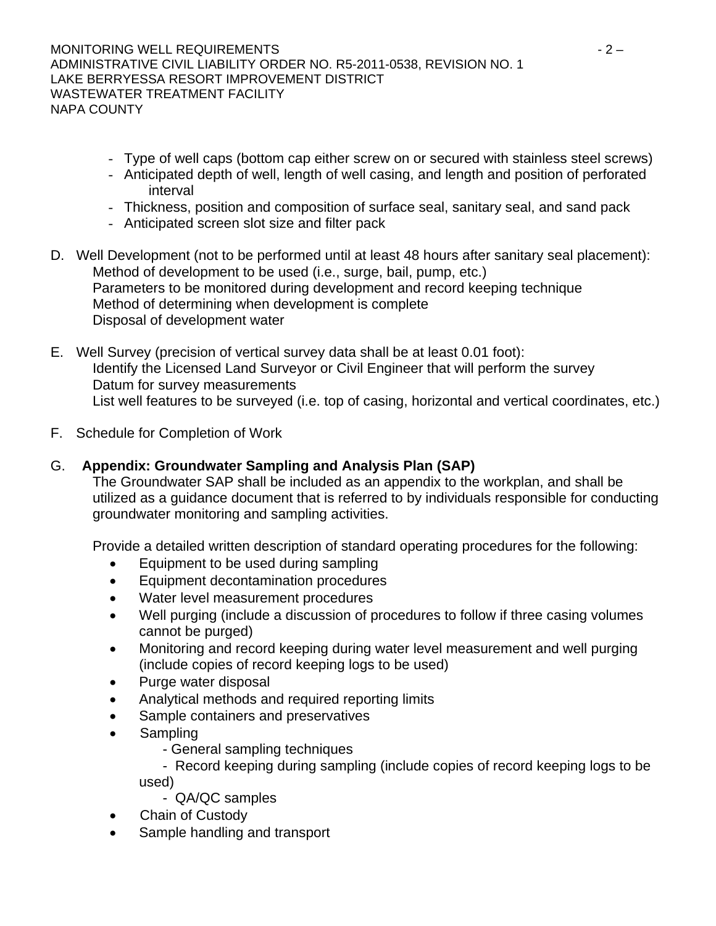- Type of well caps (bottom cap either screw on or secured with stainless steel screws)
- Anticipated depth of well, length of well casing, and length and position of perforated interval
- Thickness, position and composition of surface seal, sanitary seal, and sand pack
- Anticipated screen slot size and filter pack
- D. Well Development (not to be performed until at least 48 hours after sanitary seal placement): Method of development to be used (i.e., surge, bail, pump, etc.) Parameters to be monitored during development and record keeping technique Method of determining when development is complete Disposal of development water
- E. Well Survey (precision of vertical survey data shall be at least 0.01 foot): Identify the Licensed Land Surveyor or Civil Engineer that will perform the survey Datum for survey measurements List well features to be surveyed (i.e. top of casing, horizontal and vertical coordinates, etc.)
- F. Schedule for Completion of Work

# G. **Appendix: Groundwater Sampling and Analysis Plan (SAP)**

The Groundwater SAP shall be included as an appendix to the workplan, and shall be utilized as a guidance document that is referred to by individuals responsible for conducting groundwater monitoring and sampling activities.

Provide a detailed written description of standard operating procedures for the following:

- Equipment to be used during sampling
- Equipment decontamination procedures
- Water level measurement procedures
- Well purging (include a discussion of procedures to follow if three casing volumes cannot be purged)
- Monitoring and record keeping during water level measurement and well purging (include copies of record keeping logs to be used)
- Purge water disposal
- Analytical methods and required reporting limits
- Sample containers and preservatives
- Sampling
	- General sampling techniques

 - Record keeping during sampling (include copies of record keeping logs to be used)

- QA/QC samples
- Chain of Custody
- Sample handling and transport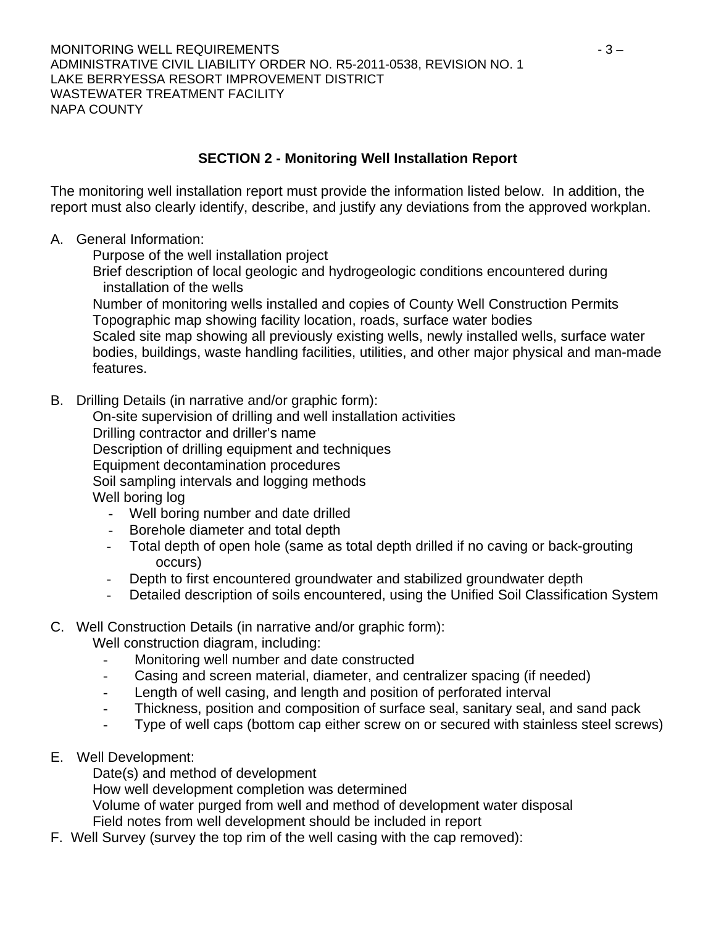# **SECTION 2 - Monitoring Well Installation Report**

The monitoring well installation report must provide the information listed below. In addition, the report must also clearly identify, describe, and justify any deviations from the approved workplan.

- A. General Information:
	- Purpose of the well installation project
	- Brief description of local geologic and hydrogeologic conditions encountered during installation of the wells

 Number of monitoring wells installed and copies of County Well Construction Permits Topographic map showing facility location, roads, surface water bodies

 Scaled site map showing all previously existing wells, newly installed wells, surface water bodies, buildings, waste handling facilities, utilities, and other major physical and man-made features.

B. Drilling Details (in narrative and/or graphic form):

 On-site supervision of drilling and well installation activities Drilling contractor and driller's name Description of drilling equipment and techniques Equipment decontamination procedures Soil sampling intervals and logging methods Well boring log

- Well boring number and date drilled
- Borehole diameter and total depth
- Total depth of open hole (same as total depth drilled if no caving or back-grouting occurs)
- Depth to first encountered groundwater and stabilized groundwater depth
- Detailed description of soils encountered, using the Unified Soil Classification System

# C. Well Construction Details (in narrative and/or graphic form):

Well construction diagram, including:

- Monitoring well number and date constructed
- Casing and screen material, diameter, and centralizer spacing (if needed)
- Length of well casing, and length and position of perforated interval
- Thickness, position and composition of surface seal, sanitary seal, and sand pack
- Type of well caps (bottom cap either screw on or secured with stainless steel screws)
- E. Well Development:

Date(s) and method of development

How well development completion was determined

Volume of water purged from well and method of development water disposal

Field notes from well development should be included in report

F. Well Survey (survey the top rim of the well casing with the cap removed):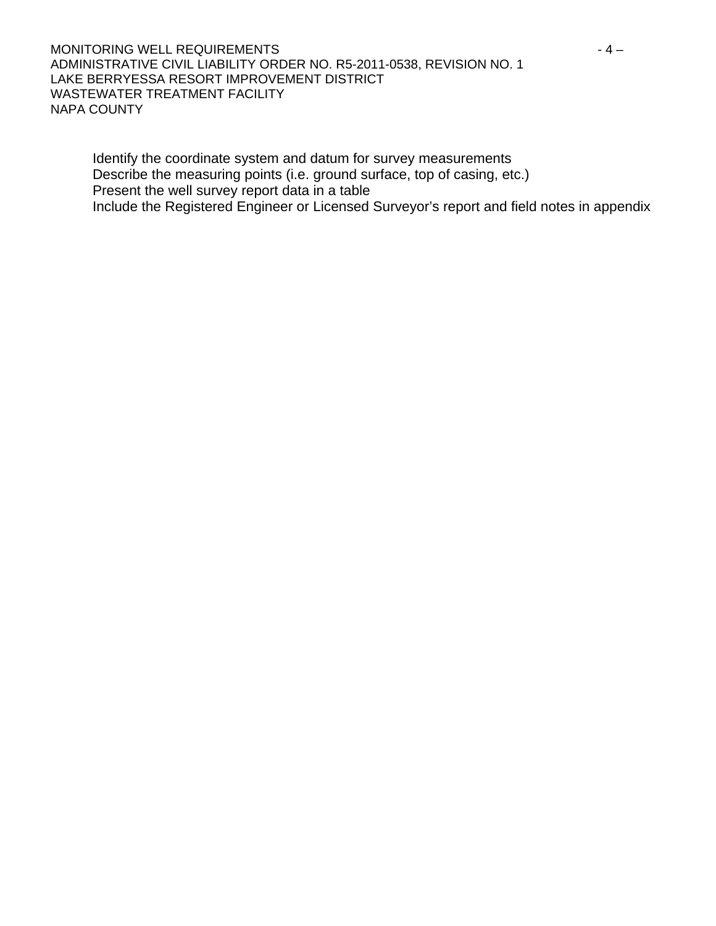MONITORING WELL REQUIREMENTS  $-4-$ ADMINISTRATIVE CIVIL LIABILITY ORDER NO. R5-2011-0538, REVISION NO. 1 LAKE BERRYESSA RESORT IMPROVEMENT DISTRICT WASTEWATER TREATMENT FACILITY NAPA COUNTY

 Identify the coordinate system and datum for survey measurements Describe the measuring points (i.e. ground surface, top of casing, etc.) Present the well survey report data in a table Include the Registered Engineer or Licensed Surveyor's report and field notes in appendix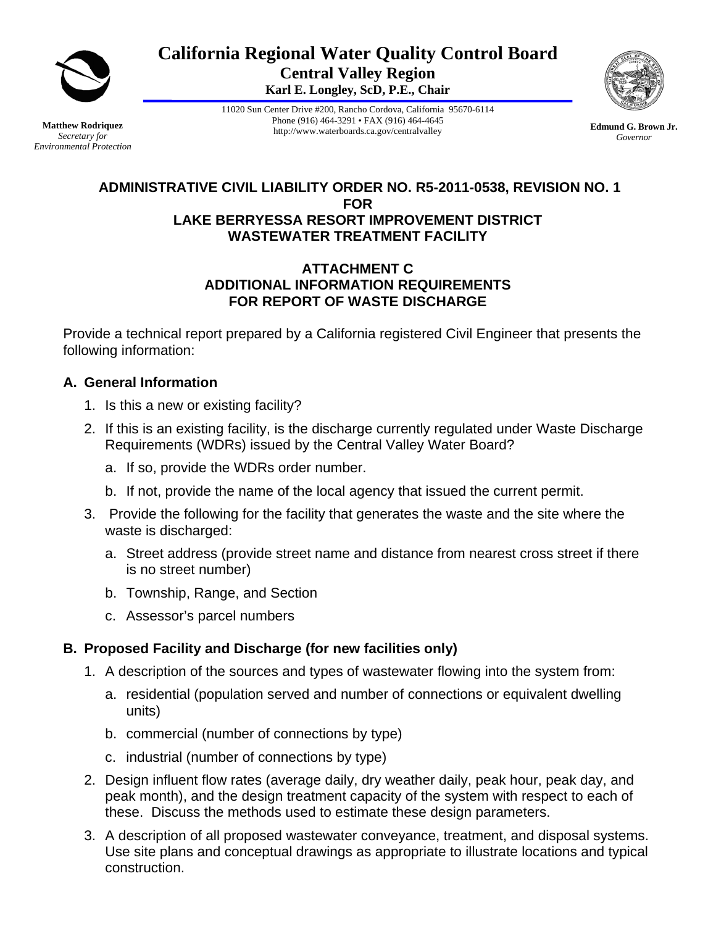

**California Regional Water Quality Control Board Central Valley Region Karl E. Longley, ScD, P.E., Chair** 

**Matthew Rodriquez**  *Secretary for Environmental Protection*  11020 Sun Center Drive #200, Rancho Cordova, California 95670-6114 Phone (916) 464-3291 • FAX (916) 464-4645 http://www.waterboards.ca.gov/centralvalley



### **ADMINISTRATIVE CIVIL LIABILITY ORDER NO. R5-2011-0538, REVISION NO. 1 FOR LAKE BERRYESSA RESORT IMPROVEMENT DISTRICT WASTEWATER TREATMENT FACILITY**

### **ATTACHMENT C ADDITIONAL INFORMATION REQUIREMENTS FOR REPORT OF WASTE DISCHARGE**

Provide a technical report prepared by a California registered Civil Engineer that presents the following information:

## **A. General Information**

- 1. Is this a new or existing facility?
- 2. If this is an existing facility, is the discharge currently regulated under Waste Discharge Requirements (WDRs) issued by the Central Valley Water Board?
	- a. If so, provide the WDRs order number.
	- b. If not, provide the name of the local agency that issued the current permit.
- 3. Provide the following for the facility that generates the waste and the site where the waste is discharged:
	- a. Street address (provide street name and distance from nearest cross street if there is no street number)
	- b. Township, Range, and Section
	- c. Assessor's parcel numbers

# **B. Proposed Facility and Discharge (for new facilities only)**

- 1. A description of the sources and types of wastewater flowing into the system from:
	- a. residential (population served and number of connections or equivalent dwelling units)
	- b. commercial (number of connections by type)
	- c. industrial (number of connections by type)
- 2. Design influent flow rates (average daily, dry weather daily, peak hour, peak day, and peak month), and the design treatment capacity of the system with respect to each of these. Discuss the methods used to estimate these design parameters.
- 3. A description of all proposed wastewater conveyance, treatment, and disposal systems. Use site plans and conceptual drawings as appropriate to illustrate locations and typical construction.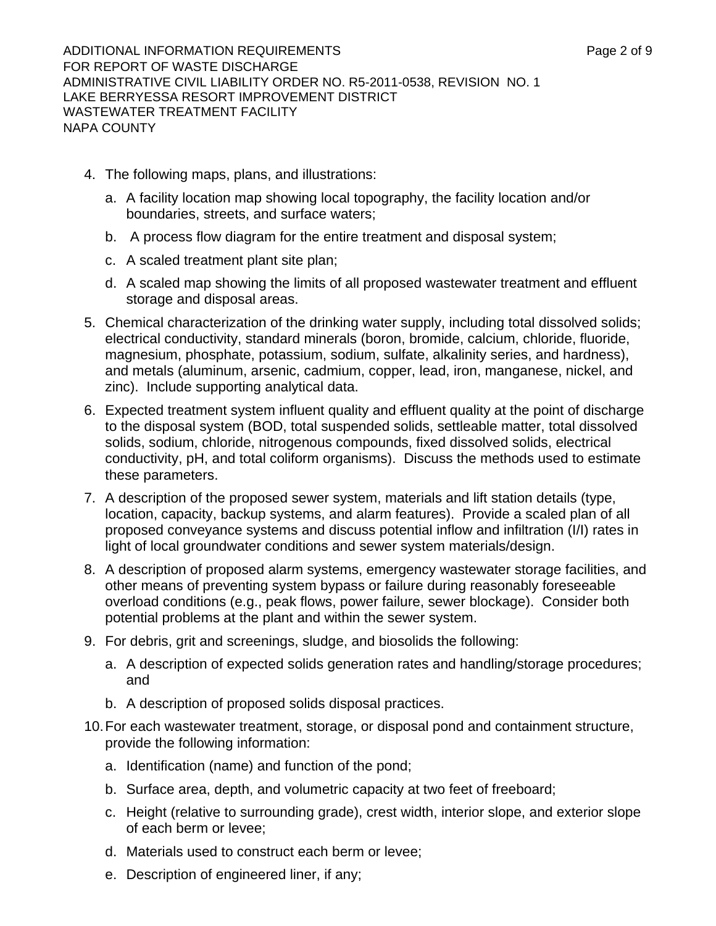- 4. The following maps, plans, and illustrations:
	- a. A facility location map showing local topography, the facility location and/or boundaries, streets, and surface waters;
	- b. A process flow diagram for the entire treatment and disposal system;
	- c. A scaled treatment plant site plan;
	- d. A scaled map showing the limits of all proposed wastewater treatment and effluent storage and disposal areas.
- 5. Chemical characterization of the drinking water supply, including total dissolved solids; electrical conductivity, standard minerals (boron, bromide, calcium, chloride, fluoride, magnesium, phosphate, potassium, sodium, sulfate, alkalinity series, and hardness), and metals (aluminum, arsenic, cadmium, copper, lead, iron, manganese, nickel, and zinc). Include supporting analytical data.
- 6. Expected treatment system influent quality and effluent quality at the point of discharge to the disposal system (BOD, total suspended solids, settleable matter, total dissolved solids, sodium, chloride, nitrogenous compounds, fixed dissolved solids, electrical conductivity, pH, and total coliform organisms). Discuss the methods used to estimate these parameters.
- 7. A description of the proposed sewer system, materials and lift station details (type, location, capacity, backup systems, and alarm features). Provide a scaled plan of all proposed conveyance systems and discuss potential inflow and infiltration (I/I) rates in light of local groundwater conditions and sewer system materials/design.
- 8. A description of proposed alarm systems, emergency wastewater storage facilities, and other means of preventing system bypass or failure during reasonably foreseeable overload conditions (e.g., peak flows, power failure, sewer blockage). Consider both potential problems at the plant and within the sewer system.
- 9. For debris, grit and screenings, sludge, and biosolids the following:
	- a. A description of expected solids generation rates and handling/storage procedures; and
	- b. A description of proposed solids disposal practices.
- 10. For each wastewater treatment, storage, or disposal pond and containment structure, provide the following information:
	- a. Identification (name) and function of the pond;
	- b. Surface area, depth, and volumetric capacity at two feet of freeboard;
	- c. Height (relative to surrounding grade), crest width, interior slope, and exterior slope of each berm or levee;
	- d. Materials used to construct each berm or levee;
	- e. Description of engineered liner, if any;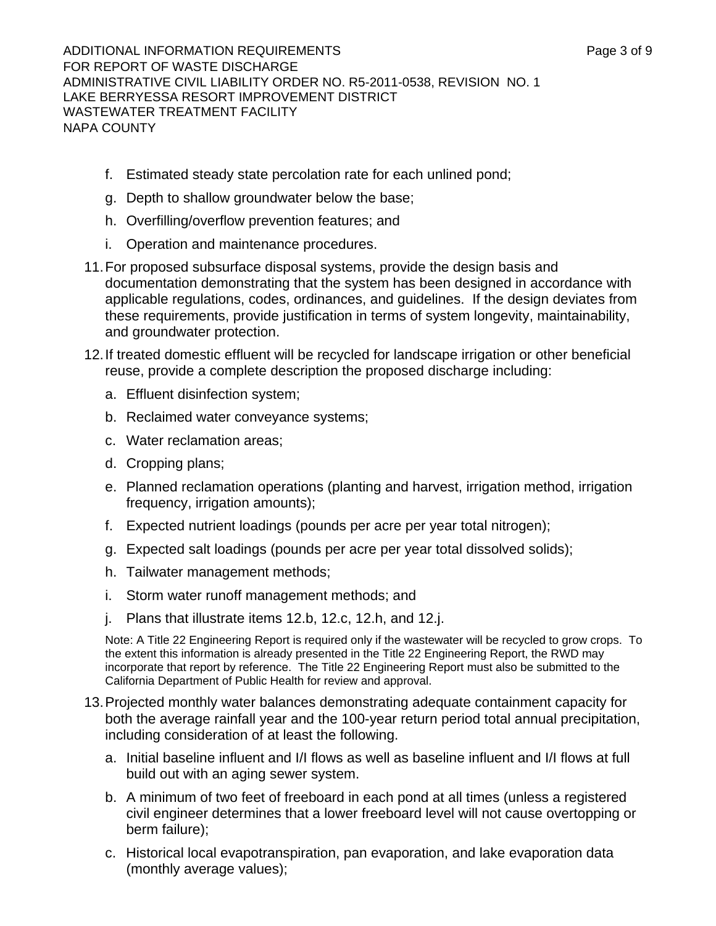- f. Estimated steady state percolation rate for each unlined pond;
- g. Depth to shallow groundwater below the base;
- h. Overfilling/overflow prevention features; and
- i. Operation and maintenance procedures.
- 11. For proposed subsurface disposal systems, provide the design basis and documentation demonstrating that the system has been designed in accordance with applicable regulations, codes, ordinances, and guidelines. If the design deviates from these requirements, provide justification in terms of system longevity, maintainability, and groundwater protection.
- 12. If treated domestic effluent will be recycled for landscape irrigation or other beneficial reuse, provide a complete description the proposed discharge including:
	- a. Effluent disinfection system;
	- b. Reclaimed water conveyance systems;
	- c. Water reclamation areas;
	- d. Cropping plans;
	- e. Planned reclamation operations (planting and harvest, irrigation method, irrigation frequency, irrigation amounts);
	- f. Expected nutrient loadings (pounds per acre per year total nitrogen);
	- g. Expected salt loadings (pounds per acre per year total dissolved solids);
	- h. Tailwater management methods;
	- i. Storm water runoff management methods; and
	- j. Plans that illustrate items 12.b, 12.c, 12.h, and 12.j.

Note: A Title 22 Engineering Report is required only if the wastewater will be recycled to grow crops. To the extent this information is already presented in the Title 22 Engineering Report, the RWD may incorporate that report by reference. The Title 22 Engineering Report must also be submitted to the California Department of Public Health for review and approval.

- 13. Projected monthly water balances demonstrating adequate containment capacity for both the average rainfall year and the 100-year return period total annual precipitation, including consideration of at least the following.
	- a. Initial baseline influent and I/I flows as well as baseline influent and I/I flows at full build out with an aging sewer system.
	- b. A minimum of two feet of freeboard in each pond at all times (unless a registered civil engineer determines that a lower freeboard level will not cause overtopping or berm failure);
	- c. Historical local evapotranspiration, pan evaporation, and lake evaporation data (monthly average values);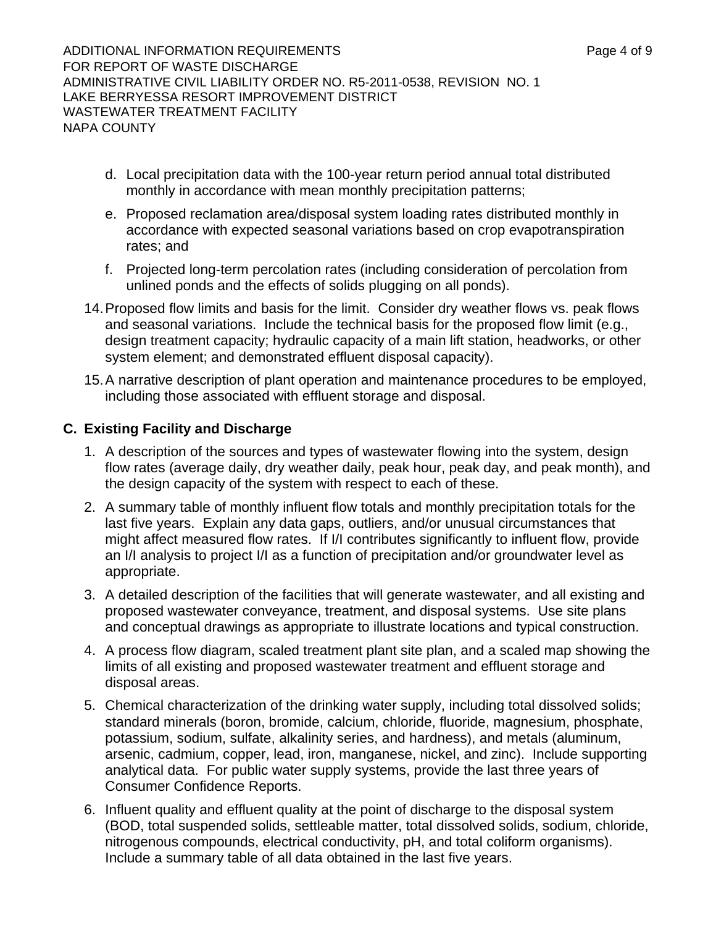ADDITIONAL INFORMATION REQUIREMENTS AND REALLY A Research of 9 FOR REPORT OF WASTE DISCHARGE ADMINISTRATIVE CIVIL LIABILITY ORDER NO. R5-2011-0538, REVISION NO. 1 LAKE BERRYESSA RESORT IMPROVEMENT DISTRICT WASTEWATER TREATMENT FACILITY NAPA COUNTY

- d. Local precipitation data with the 100-year return period annual total distributed monthly in accordance with mean monthly precipitation patterns;
- e. Proposed reclamation area/disposal system loading rates distributed monthly in accordance with expected seasonal variations based on crop evapotranspiration rates; and
- f. Projected long-term percolation rates (including consideration of percolation from unlined ponds and the effects of solids plugging on all ponds).
- 14. Proposed flow limits and basis for the limit. Consider dry weather flows vs. peak flows and seasonal variations. Include the technical basis for the proposed flow limit (e.g., design treatment capacity; hydraulic capacity of a main lift station, headworks, or other system element; and demonstrated effluent disposal capacity).
- 15. A narrative description of plant operation and maintenance procedures to be employed, including those associated with effluent storage and disposal.

## **C. Existing Facility and Discharge**

- 1. A description of the sources and types of wastewater flowing into the system, design flow rates (average daily, dry weather daily, peak hour, peak day, and peak month), and the design capacity of the system with respect to each of these.
- 2. A summary table of monthly influent flow totals and monthly precipitation totals for the last five years. Explain any data gaps, outliers, and/or unusual circumstances that might affect measured flow rates. If I/I contributes significantly to influent flow, provide an I/I analysis to project I/I as a function of precipitation and/or groundwater level as appropriate.
- 3. A detailed description of the facilities that will generate wastewater, and all existing and proposed wastewater conveyance, treatment, and disposal systems. Use site plans and conceptual drawings as appropriate to illustrate locations and typical construction.
- 4. A process flow diagram, scaled treatment plant site plan, and a scaled map showing the limits of all existing and proposed wastewater treatment and effluent storage and disposal areas.
- 5. Chemical characterization of the drinking water supply, including total dissolved solids; standard minerals (boron, bromide, calcium, chloride, fluoride, magnesium, phosphate, potassium, sodium, sulfate, alkalinity series, and hardness), and metals (aluminum, arsenic, cadmium, copper, lead, iron, manganese, nickel, and zinc). Include supporting analytical data. For public water supply systems, provide the last three years of Consumer Confidence Reports.
- 6. Influent quality and effluent quality at the point of discharge to the disposal system (BOD, total suspended solids, settleable matter, total dissolved solids, sodium, chloride, nitrogenous compounds, electrical conductivity, pH, and total coliform organisms). Include a summary table of all data obtained in the last five years.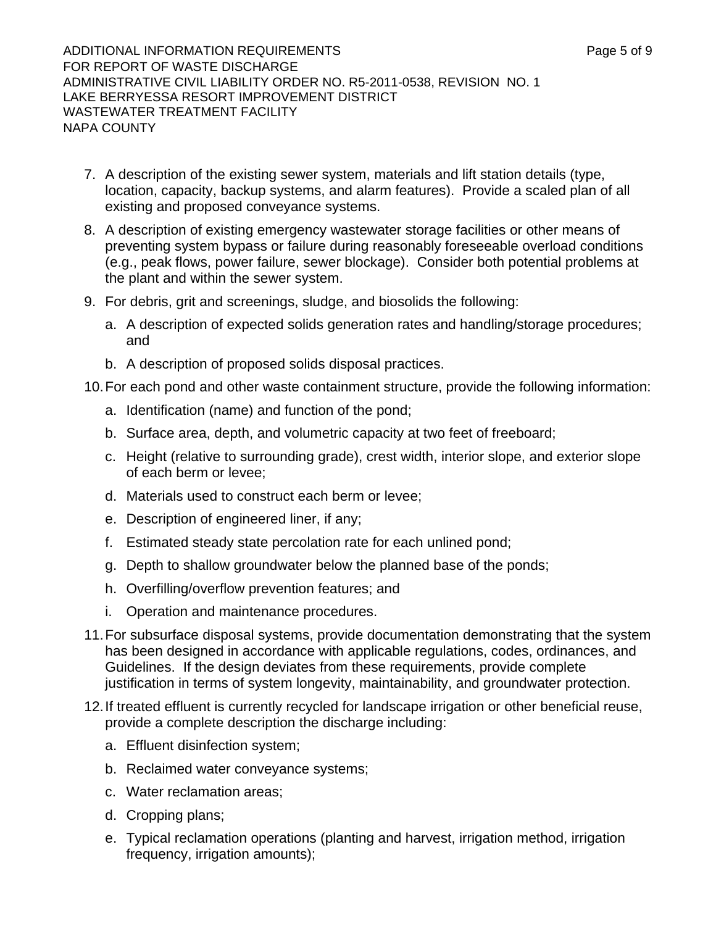ADDITIONAL INFORMATION REQUIREMENTS AND REALLY A Range 5 of 9 FOR REPORT OF WASTE DISCHARGE ADMINISTRATIVE CIVIL LIABILITY ORDER NO. R5-2011-0538, REVISION NO. 1 LAKE BERRYESSA RESORT IMPROVEMENT DISTRICT WASTEWATER TREATMENT FACILITY NAPA COUNTY

- 7. A description of the existing sewer system, materials and lift station details (type, location, capacity, backup systems, and alarm features). Provide a scaled plan of all existing and proposed conveyance systems.
- 8. A description of existing emergency wastewater storage facilities or other means of preventing system bypass or failure during reasonably foreseeable overload conditions (e.g., peak flows, power failure, sewer blockage). Consider both potential problems at the plant and within the sewer system.
- 9. For debris, grit and screenings, sludge, and biosolids the following:
	- a. A description of expected solids generation rates and handling/storage procedures; and
	- b. A description of proposed solids disposal practices.
- 10. For each pond and other waste containment structure, provide the following information:
	- a. Identification (name) and function of the pond;
	- b. Surface area, depth, and volumetric capacity at two feet of freeboard;
	- c. Height (relative to surrounding grade), crest width, interior slope, and exterior slope of each berm or levee;
	- d. Materials used to construct each berm or levee;
	- e. Description of engineered liner, if any;
	- f. Estimated steady state percolation rate for each unlined pond;
	- g. Depth to shallow groundwater below the planned base of the ponds;
	- h. Overfilling/overflow prevention features; and
	- i. Operation and maintenance procedures.
- 11. For subsurface disposal systems, provide documentation demonstrating that the system has been designed in accordance with applicable regulations, codes, ordinances, and Guidelines. If the design deviates from these requirements, provide complete justification in terms of system longevity, maintainability, and groundwater protection.
- 12. If treated effluent is currently recycled for landscape irrigation or other beneficial reuse, provide a complete description the discharge including:
	- a. Effluent disinfection system;
	- b. Reclaimed water conveyance systems;
	- c. Water reclamation areas;
	- d. Cropping plans;
	- e. Typical reclamation operations (planting and harvest, irrigation method, irrigation frequency, irrigation amounts);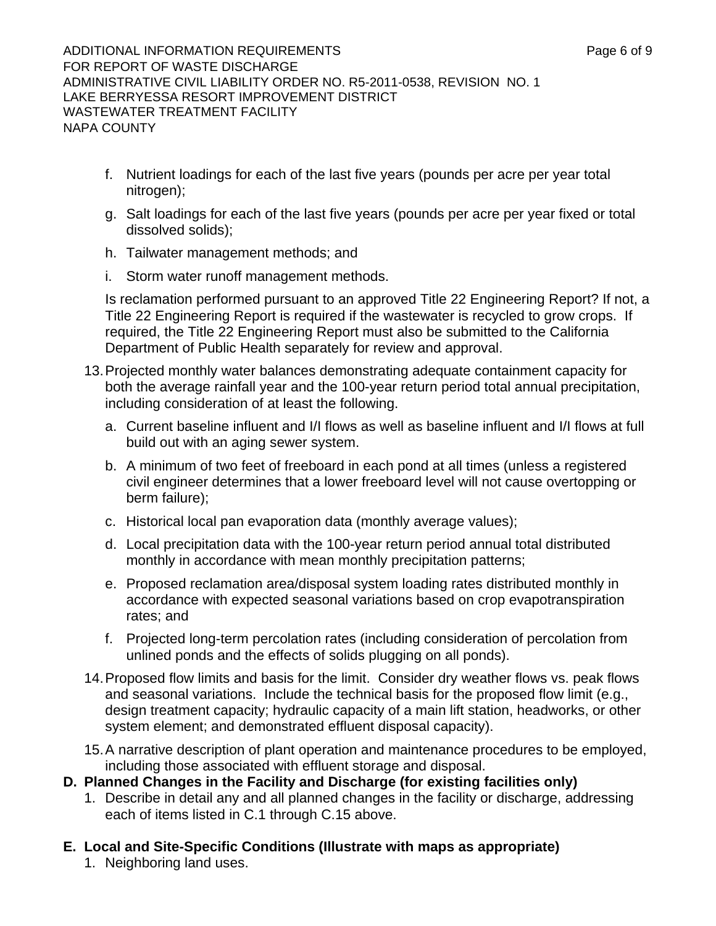ADDITIONAL INFORMATION REQUIREMENTS ADDITIONAL INFORMATION REQUIREMENTS FOR REPORT OF WASTE DISCHARGE ADMINISTRATIVE CIVIL LIABILITY ORDER NO. R5-2011-0538, REVISION NO. 1 LAKE BERRYESSA RESORT IMPROVEMENT DISTRICT WASTEWATER TREATMENT FACILITY NAPA COUNTY

- f. Nutrient loadings for each of the last five years (pounds per acre per year total nitrogen);
- g. Salt loadings for each of the last five years (pounds per acre per year fixed or total dissolved solids);
- h. Tailwater management methods; and
- i. Storm water runoff management methods.

Is reclamation performed pursuant to an approved Title 22 Engineering Report? If not, a Title 22 Engineering Report is required if the wastewater is recycled to grow crops. If required, the Title 22 Engineering Report must also be submitted to the California Department of Public Health separately for review and approval.

- 13. Projected monthly water balances demonstrating adequate containment capacity for both the average rainfall year and the 100-year return period total annual precipitation, including consideration of at least the following.
	- a. Current baseline influent and I/I flows as well as baseline influent and I/I flows at full build out with an aging sewer system.
	- b. A minimum of two feet of freeboard in each pond at all times (unless a registered civil engineer determines that a lower freeboard level will not cause overtopping or berm failure);
	- c. Historical local pan evaporation data (monthly average values);
	- d. Local precipitation data with the 100-year return period annual total distributed monthly in accordance with mean monthly precipitation patterns;
	- e. Proposed reclamation area/disposal system loading rates distributed monthly in accordance with expected seasonal variations based on crop evapotranspiration rates; and
	- f. Projected long-term percolation rates (including consideration of percolation from unlined ponds and the effects of solids plugging on all ponds).
- 14. Proposed flow limits and basis for the limit. Consider dry weather flows vs. peak flows and seasonal variations. Include the technical basis for the proposed flow limit (e.g., design treatment capacity; hydraulic capacity of a main lift station, headworks, or other system element; and demonstrated effluent disposal capacity).
- 15. A narrative description of plant operation and maintenance procedures to be employed, including those associated with effluent storage and disposal.
- **D. Planned Changes in the Facility and Discharge (for existing facilities only)** 
	- 1. Describe in detail any and all planned changes in the facility or discharge, addressing each of items listed in C.1 through C.15 above.
- **E. Local and Site-Specific Conditions (Illustrate with maps as appropriate)** 
	- 1. Neighboring land uses.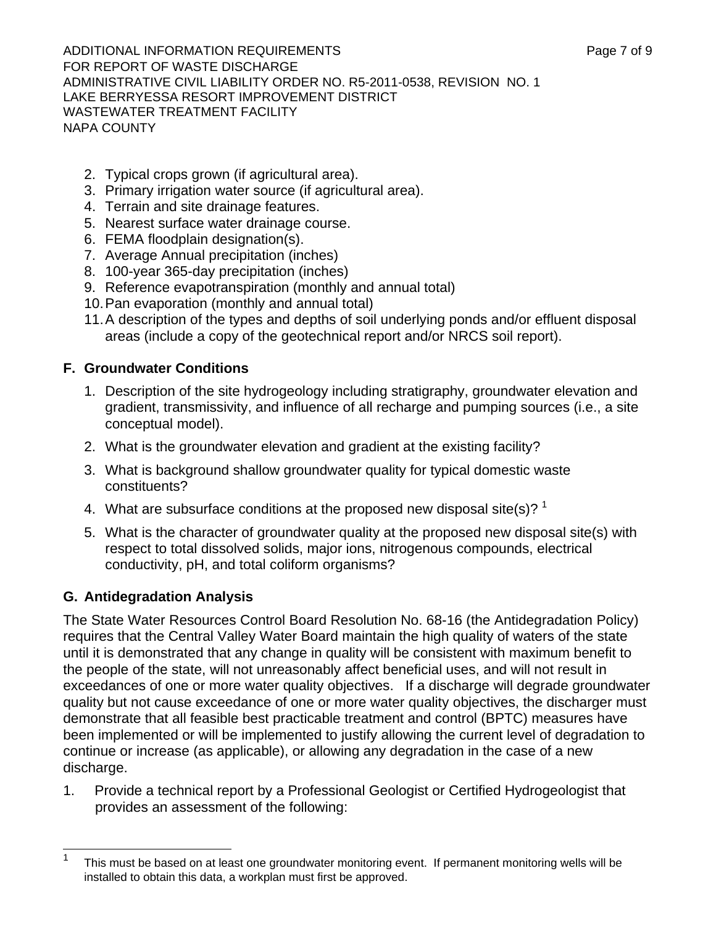ADDITIONAL INFORMATION REQUIREMENTS ADDITIONAL INFORMATION REQUIREMENTS FOR REPORT OF WASTE DISCHARGE ADMINISTRATIVE CIVIL LIABILITY ORDER NO. R5-2011-0538, REVISION NO. 1 LAKE BERRYESSA RESORT IMPROVEMENT DISTRICT WASTEWATER TREATMENT FACILITY NAPA COUNTY

- 2. Typical crops grown (if agricultural area).
- 3. Primary irrigation water source (if agricultural area).
- 4. Terrain and site drainage features.
- 5. Nearest surface water drainage course.
- 6. FEMA floodplain designation(s).
- 7. Average Annual precipitation (inches)
- 8. 100-year 365-day precipitation (inches)
- 9. Reference evapotranspiration (monthly and annual total)
- 10. Pan evaporation (monthly and annual total)
- 11. A description of the types and depths of soil underlying ponds and/or effluent disposal areas (include a copy of the geotechnical report and/or NRCS soil report).

## **F. Groundwater Conditions**

- 1. Description of the site hydrogeology including stratigraphy, groundwater elevation and gradient, transmissivity, and influence of all recharge and pumping sources (i.e., a site conceptual model).
- 2. What is the groundwater elevation and gradient at the existing facility?
- 3. What is background shallow groundwater quality for typical domestic waste constituents?
- 4. What are subsurface conditions at the proposed new disposal site(s)?  $1$
- 5. What is the character of groundwater quality at the proposed new disposal site(s) with respect to total dissolved solids, major ions, nitrogenous compounds, electrical conductivity, pH, and total coliform organisms?

# **G. Antidegradation Analysis**

The State Water Resources Control Board Resolution No. 68-16 (the Antidegradation Policy) requires that the Central Valley Water Board maintain the high quality of waters of the state until it is demonstrated that any change in quality will be consistent with maximum benefit to the people of the state, will not unreasonably affect beneficial uses, and will not result in exceedances of one or more water quality objectives. If a discharge will degrade groundwater quality but not cause exceedance of one or more water quality objectives, the discharger must demonstrate that all feasible best practicable treatment and control (BPTC) measures have been implemented or will be implemented to justify allowing the current level of degradation to continue or increase (as applicable), or allowing any degradation in the case of a new discharge.

1. Provide a technical report by a Professional Geologist or Certified Hydrogeologist that provides an assessment of the following:

 $\frac{1}{1}$  This must be based on at least one groundwater monitoring event. If permanent monitoring wells will be installed to obtain this data, a workplan must first be approved.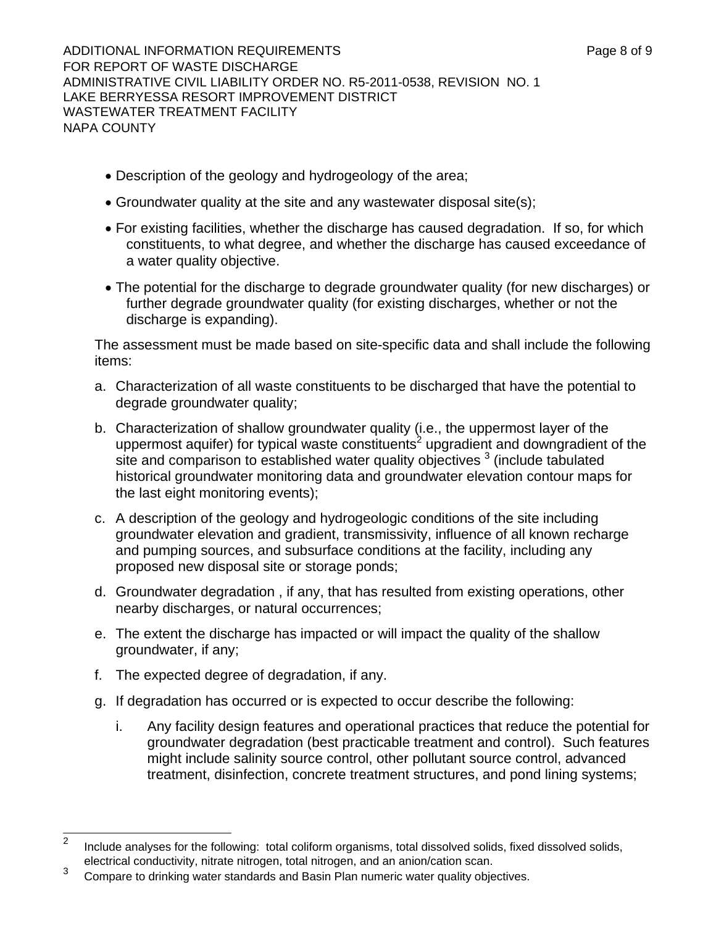ADDITIONAL INFORMATION REQUIREMENTS ADDITIONAL INFORMATION REQUIREMENTS FOR REPORT OF WASTE DISCHARGE ADMINISTRATIVE CIVIL LIABILITY ORDER NO. R5-2011-0538, REVISION NO. 1 LAKE BERRYESSA RESORT IMPROVEMENT DISTRICT WASTEWATER TREATMENT FACILITY NAPA COUNTY

- Description of the geology and hydrogeology of the area;
- Groundwater quality at the site and any wastewater disposal site(s);
- For existing facilities, whether the discharge has caused degradation. If so, for which constituents, to what degree, and whether the discharge has caused exceedance of a water quality objective.
- The potential for the discharge to degrade groundwater quality (for new discharges) or further degrade groundwater quality (for existing discharges, whether or not the discharge is expanding).

The assessment must be made based on site-specific data and shall include the following items:

- a. Characterization of all waste constituents to be discharged that have the potential to degrade groundwater quality;
- b. Characterization of shallow groundwater quality (i.e., the uppermost layer of the uppermost aquifer) for typical waste constituents<sup>2</sup> upgradient and downgradient of the site and comparison to established water quality objectives  $3$  (include tabulated historical groundwater monitoring data and groundwater elevation contour maps for the last eight monitoring events);
- c. A description of the geology and hydrogeologic conditions of the site including groundwater elevation and gradient, transmissivity, influence of all known recharge and pumping sources, and subsurface conditions at the facility, including any proposed new disposal site or storage ponds;
- d. Groundwater degradation , if any, that has resulted from existing operations, other nearby discharges, or natural occurrences;
- e. The extent the discharge has impacted or will impact the quality of the shallow groundwater, if any;
- f. The expected degree of degradation, if any.
- g. If degradation has occurred or is expected to occur describe the following:
	- i. Any facility design features and operational practices that reduce the potential for groundwater degradation (best practicable treatment and control). Such features might include salinity source control, other pollutant source control, advanced treatment, disinfection, concrete treatment structures, and pond lining systems;

 $\overline{2}$  Include analyses for the following: total coliform organisms, total dissolved solids, fixed dissolved solids, electrical conductivity, nitrate nitrogen, total nitrogen, and an anion/cation scan.

<sup>3</sup> Compare to drinking water standards and Basin Plan numeric water quality objectives.